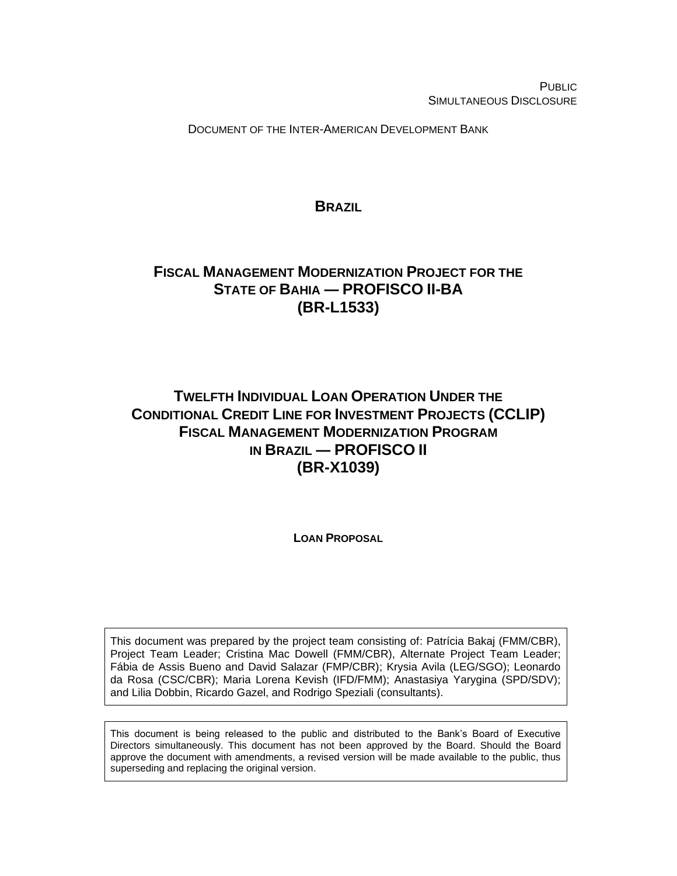PUBLIC SIMULTANEOUS DISCLOSURE

DOCUMENT OF THE INTER-AMERICAN DEVELOPMENT BANK

**BRAZIL**

# <span id="page-0-0"></span>**FISCAL MANAGEMENT MODERNIZATION PROJECT FOR THE STATE OF BAHIA ― PROFISCO II-BA (BR-L1533)**

# **TWELFTH INDIVIDUAL LOAN OPERATION UNDER THE CONDITIONAL CREDIT LINE FOR INVESTMENT PROJECTS (CCLIP) FISCAL MANAGEMENT MODERNIZATION PROGRAM IN BRAZIL ― PROFISCO II (BR-X1039)**

**LOAN PROPOSAL**

This document was prepared by the project team consisting of: Patrícia Bakaj (FMM/CBR), Project Team Leader; Cristina Mac Dowell (FMM/CBR), Alternate Project Team Leader; Fábia de Assis Bueno and David Salazar (FMP/CBR); Krysia Avila (LEG/SGO); Leonardo da Rosa (CSC/CBR); Maria Lorena Kevish (IFD/FMM); Anastasiya Yarygina (SPD/SDV); and Lilia Dobbin, Ricardo Gazel, and Rodrigo Speziali (consultants).

This document is being released to the public and distributed to the Bank's Board of Executive Directors simultaneously. This document has not been approved by the Board. Should the Board approve the document with amendments, a revised version will be made available to the public, thus superseding and replacing the original version.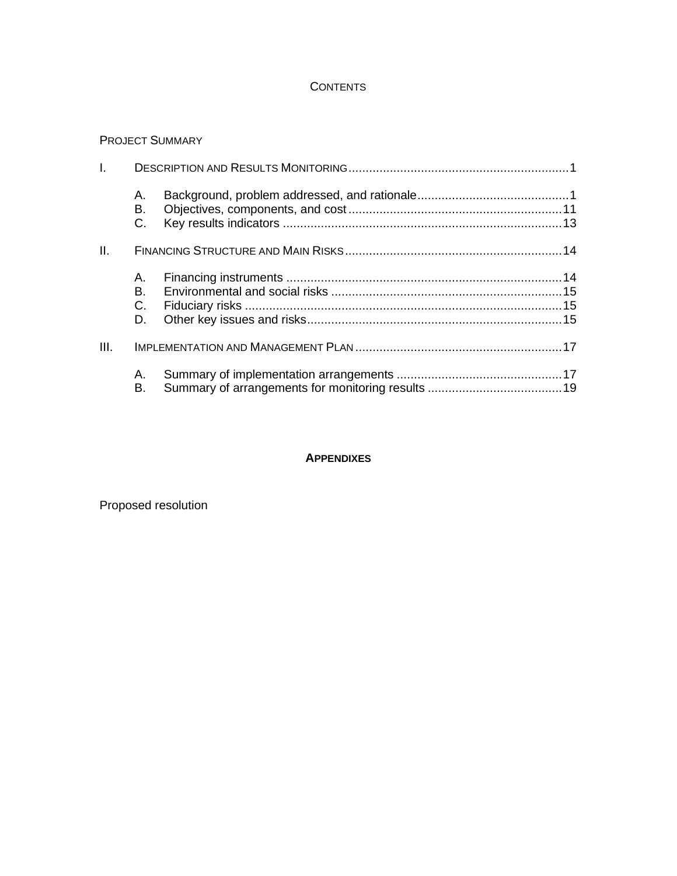## **CONTENTS**

## PROJECT SUMMARY

| I.   |                        |  |
|------|------------------------|--|
|      | А.<br>В.<br>C.         |  |
| II.  |                        |  |
|      | A. .<br>В.<br>C.<br>D. |  |
| III. |                        |  |
|      | А.<br>В.               |  |

## **APPENDIXES**

Proposed resolution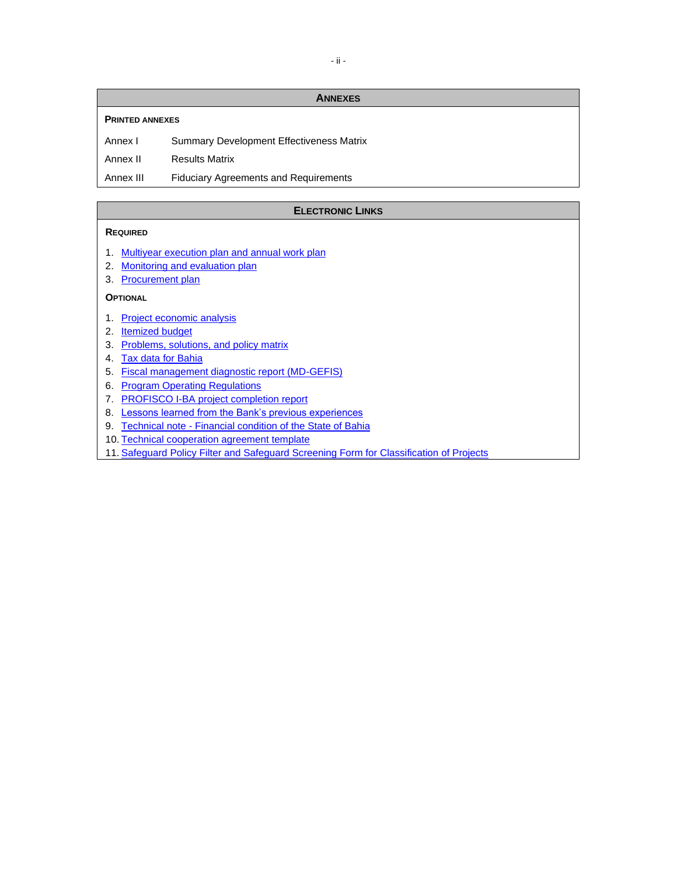#### **ANNEXES**

#### **PRINTED ANNEXES**

Annex I Summary Development Effectiveness Matrix

Annex II Results Matrix

Annex III Fiduciary Agreements and Requirements

#### **ELECTRONIC LINKS**

#### **REQUIRED**

- 1. [Multiyear execution plan and annual work plan](http://idbdocs.iadb.org/wsdocs/getDocument.aspx?DOCNUM=EZSHARE-1326839135-5)
- 2. [Monitoring and evaluation plan](http://idbdocs.iadb.org/wsdocs/getDocument.aspx?DOCNUM=EZSHARE-1326839135-6)
- 3. [Procurement plan](http://idbdocs.iadb.org/wsdocs/getDocument.aspx?DOCNUM=EZSHARE-1326839135-5)

#### **OPTIONAL**

- 1. [Project economic analysis](http://idbdocs.iadb.org/wsdocs/getDocument.aspx?DOCNUM=EZSHARE-1326839135-3)
- 2. **[Itemized budget](http://idbdocs.iadb.org/wsdocs/getDocument.aspx?DOCNUM=EZSHARE-1326839135-5)**
- 3. [Problems, solutions, and policy matrix](http://idbdocs.iadb.org/wsdocs/getDocument.aspx?DOCNUM=EZSHARE-1326839135-4)
- 4. [Tax data for Bahia](http://idbdocs.iadb.org/wsdocs/getDocument.aspx?DOCNUM=EZSHARE-1326839135-3)
- 5. [Fiscal management diagnostic report \(MD-GEFIS\)](http://idbdocs.iadb.org/wsdocs/getDocument.aspx?DOCNUM=EZSHARE-1326839135-2)
- 6. [Program Operating Regulations](http://idbdocs.iadb.org/wsdocs/getDocument.aspx?DOCNUM=EZSHARE-1869036552-7)
- 7. [PROFISCO I-BA project completion report](http://idbdocs.iadb.org/wsdocs/getDocument.aspx?DOCNUM=EZSHARE-1326839135-1)
- 8. [Lessons learned from the Bank's previous experiences](http://idbdocs.iadb.org/wsdocs/getDocument.aspx?DOCNUM=EZSHARE-136685644-34)
- 9. Technical note [Financial condition of the State of Bahia](http://idbdocs.iadb.org/wsdocs/getDocument.aspx?DOCNUM=EZSHARE-1326839135-7)
- 10. [Technical cooperation agreement template](http://idbdocs.iadb.org/wsdocs/getDocument.aspx?DOCNUM=EZSHARE-1326839135-48)
- 11. [Safeguard Policy Filter and Safeguard Screening Form for Classification of Projects](http://idbdocs.iadb.org/wsdocs/getDocument.aspx?DOCNUM=EZSHARE-1326839135-55)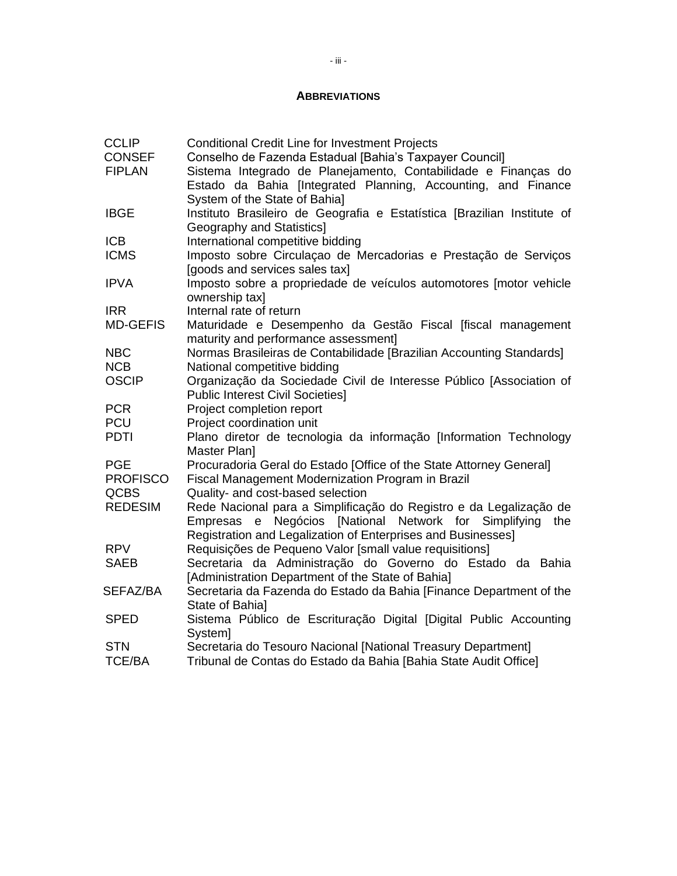#### **ABBREVIATIONS**

| <b>CCLIP</b>    | <b>Conditional Credit Line for Investment Projects</b>                  |
|-----------------|-------------------------------------------------------------------------|
| <b>CONSEF</b>   | Conselho de Fazenda Estadual [Bahia's Taxpayer Council]                 |
| <b>FIPLAN</b>   | Sistema Integrado de Planejamento, Contabilidade e Finanças do          |
|                 | Estado da Bahia [Integrated Planning, Accounting, and Finance           |
|                 | System of the State of Bahia]                                           |
| <b>IBGE</b>     | Instituto Brasileiro de Geografia e Estatística [Brazilian Institute of |
|                 | Geography and Statistics]                                               |
| <b>ICB</b>      | International competitive bidding                                       |
| <b>ICMS</b>     | Imposto sobre Circulação de Mercadorias e Prestação de Serviços         |
|                 | [goods and services sales tax]                                          |
| <b>IPVA</b>     | Imposto sobre a propriedade de veículos automotores [motor vehicle      |
|                 | ownership tax]                                                          |
| <b>IRR</b>      | Internal rate of return                                                 |
| <b>MD-GEFIS</b> | Maturidade e Desempenho da Gestão Fiscal [fiscal management             |
|                 | maturity and performance assessment]                                    |
| <b>NBC</b>      | Normas Brasileiras de Contabilidade [Brazilian Accounting Standards]    |
| <b>NCB</b>      | National competitive bidding                                            |
| <b>OSCIP</b>    | Organização da Sociedade Civil de Interesse Público [Association of     |
|                 | <b>Public Interest Civil Societies]</b>                                 |
| <b>PCR</b>      | Project completion report                                               |
| <b>PCU</b>      | Project coordination unit                                               |
| <b>PDTI</b>     | Plano diretor de tecnologia da informação [Information Technology       |
|                 | Master Plan]                                                            |
| <b>PGE</b>      | Procuradoria Geral do Estado [Office of the State Attorney General]     |
| <b>PROFISCO</b> | Fiscal Management Modernization Program in Brazil                       |
| <b>QCBS</b>     | Quality- and cost-based selection                                       |
| <b>REDESIM</b>  | Rede Nacional para a Simplificação do Registro e da Legalização de      |
|                 | Negócios [National Network for Simplifying<br>the<br>Empresas<br>e      |
|                 | Registration and Legalization of Enterprises and Businesses]            |
| <b>RPV</b>      | Requisições de Pequeno Valor [small value requisitions]                 |
| <b>SAEB</b>     | Secretaria da Administração do Governo do Estado da Bahia               |
|                 | [Administration Department of the State of Bahia]                       |
| SEFAZ/BA        | Secretaria da Fazenda do Estado da Bahia [Finance Department of the     |
|                 | State of Bahial                                                         |
| <b>SPED</b>     | Sistema Público de Escrituração Digital [Digital Public Accounting      |
|                 | System]                                                                 |
| <b>STN</b>      | Secretaria do Tesouro Nacional [National Treasury Department]           |
| <b>TCE/BA</b>   | Tribunal de Contas do Estado da Bahia [Bahia State Audit Office]        |
|                 |                                                                         |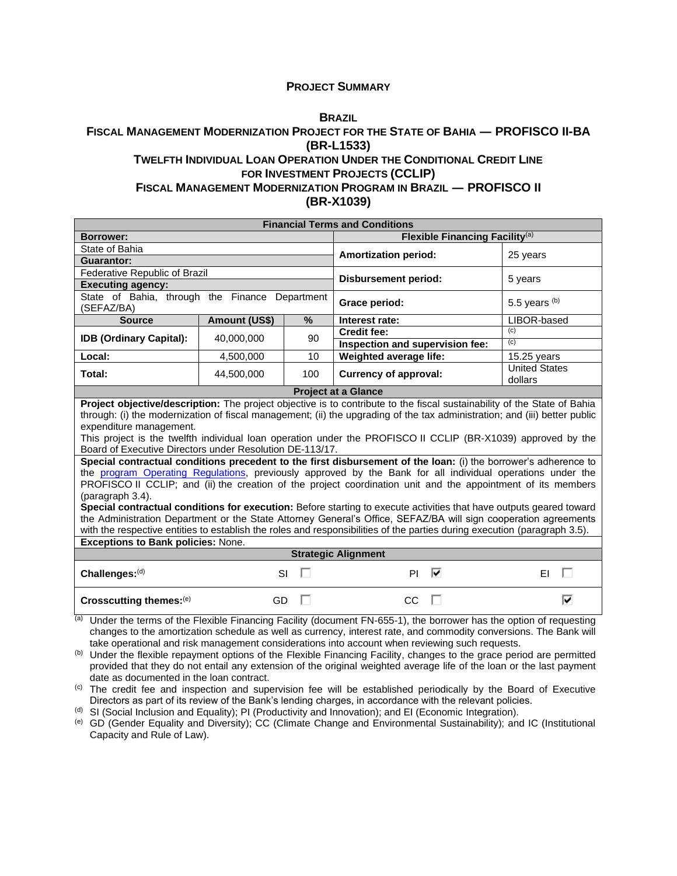#### **PROJECT SUMMARY**

#### **B[RAZIL](#page-0-0)**

#### **FISCAL MANAGEMENT MODERNIZATION PROJECT FOR THE STATE OF BAHIA ― PROFISCO II-BA (BR-L1533) TWELFTH INDIVIDUAL LOAN OPERATION UNDER THE CONDITIONAL CREDIT LINE**

#### **FOR INVESTMENT PROJECTS (CCLIP)**

#### **FISCAL MANAGEMENT MODERNIZATION PROGRAM IN BRAZIL ― PROFISCO II (BR-X1039)**

|                                                                                                                                                                                                                                                                                                                                                                                                                                                                                                                                                                                                                                                                                                |                      |    | <b>Financial Terms and Conditions</b>                                                                        |                                 |  |  |  |  |  |
|------------------------------------------------------------------------------------------------------------------------------------------------------------------------------------------------------------------------------------------------------------------------------------------------------------------------------------------------------------------------------------------------------------------------------------------------------------------------------------------------------------------------------------------------------------------------------------------------------------------------------------------------------------------------------------------------|----------------------|----|--------------------------------------------------------------------------------------------------------------|---------------------------------|--|--|--|--|--|
| Borrower:                                                                                                                                                                                                                                                                                                                                                                                                                                                                                                                                                                                                                                                                                      |                      |    | Flexible Financing Facility <sup>(a)</sup>                                                                   |                                 |  |  |  |  |  |
| State of Bahia                                                                                                                                                                                                                                                                                                                                                                                                                                                                                                                                                                                                                                                                                 |                      |    | <b>Amortization period:</b>                                                                                  | 25 years                        |  |  |  |  |  |
| Guarantor:                                                                                                                                                                                                                                                                                                                                                                                                                                                                                                                                                                                                                                                                                     |                      |    |                                                                                                              |                                 |  |  |  |  |  |
| Federative Republic of Brazil                                                                                                                                                                                                                                                                                                                                                                                                                                                                                                                                                                                                                                                                  |                      |    | <b>Disbursement period:</b>                                                                                  | 5 years                         |  |  |  |  |  |
| <b>Executing agency:</b>                                                                                                                                                                                                                                                                                                                                                                                                                                                                                                                                                                                                                                                                       |                      |    |                                                                                                              |                                 |  |  |  |  |  |
| State of Bahia, through the Finance Department<br>(SEFAZ/BA)                                                                                                                                                                                                                                                                                                                                                                                                                                                                                                                                                                                                                                   |                      |    | Grace period:                                                                                                | 5.5 years $(b)$                 |  |  |  |  |  |
| <b>Source</b>                                                                                                                                                                                                                                                                                                                                                                                                                                                                                                                                                                                                                                                                                  | <b>Amount (US\$)</b> | %  | Interest rate:                                                                                               | LIBOR-based                     |  |  |  |  |  |
| <b>IDB (Ordinary Capital):</b>                                                                                                                                                                                                                                                                                                                                                                                                                                                                                                                                                                                                                                                                 | 40,000,000           | 90 | <b>Credit fee:</b>                                                                                           | (c)                             |  |  |  |  |  |
|                                                                                                                                                                                                                                                                                                                                                                                                                                                                                                                                                                                                                                                                                                |                      |    | Inspection and supervision fee:                                                                              | (c)                             |  |  |  |  |  |
| Local:                                                                                                                                                                                                                                                                                                                                                                                                                                                                                                                                                                                                                                                                                         | 4,500,000            | 10 | Weighted average life:                                                                                       | $15.25$ years                   |  |  |  |  |  |
| Total:                                                                                                                                                                                                                                                                                                                                                                                                                                                                                                                                                                                                                                                                                         | 44,500,000<br>100    |    | <b>Currency of approval:</b>                                                                                 | <b>United States</b><br>dollars |  |  |  |  |  |
| <b>Project at a Glance</b>                                                                                                                                                                                                                                                                                                                                                                                                                                                                                                                                                                                                                                                                     |                      |    |                                                                                                              |                                 |  |  |  |  |  |
| Project objective/description: The project objective is to contribute to the fiscal sustainability of the State of Bahia<br>through: (i) the modernization of fiscal management; (ii) the upgrading of the tax administration; and (iii) better public<br>expenditure management.<br>This project is the twelfth individual loan operation under the PROFISCO II CCLIP (BR-X1039) approved by the<br>Board of Executive Directors under Resolution DE-113/17.<br>Special contractual conditions precedent to the first disbursement of the loan: (i) the borrower's adherence to<br>the program Operating Regulations, previously approved by the Bank for all individual operations under the |                      |    |                                                                                                              |                                 |  |  |  |  |  |
|                                                                                                                                                                                                                                                                                                                                                                                                                                                                                                                                                                                                                                                                                                |                      |    | PROFISCO II CCLIP; and (ii) the creation of the project coordination unit and the appointment of its members |                                 |  |  |  |  |  |
| (paragraph 3.4).<br>Special contractual conditions for execution: Before starting to execute activities that have outputs geared toward<br>the Administration Department or the State Attorney General's Office, SEFAZ/BA will sign cooperation agreements<br>with the respective entities to establish the roles and responsibilities of the parties during execution (paragraph 3.5).                                                                                                                                                                                                                                                                                                        |                      |    |                                                                                                              |                                 |  |  |  |  |  |
| <b>Exceptions to Bank policies: None.</b>                                                                                                                                                                                                                                                                                                                                                                                                                                                                                                                                                                                                                                                      |                      |    |                                                                                                              |                                 |  |  |  |  |  |
|                                                                                                                                                                                                                                                                                                                                                                                                                                                                                                                                                                                                                                                                                                |                      |    | <b>Strategic Alignment</b>                                                                                   |                                 |  |  |  |  |  |
| Challenges:(d)                                                                                                                                                                                                                                                                                                                                                                                                                                                                                                                                                                                                                                                                                 | SI                   |    | ⊽<br>PI                                                                                                      | FI.                             |  |  |  |  |  |
| Crosscutting themes:(e)                                                                                                                                                                                                                                                                                                                                                                                                                                                                                                                                                                                                                                                                        | GD                   |    | CC                                                                                                           | ⊽                               |  |  |  |  |  |

 $\overline{a}$ ) Under the terms of the Flexible Financing Facility (document FN-655-1), the borrower has the option of requesting changes to the amortization schedule as well as currency, interest rate, and commodity conversions. The Bank will take operational and risk management considerations into account when reviewing such requests.

(b) Under the flexible repayment options of the Flexible Financing Facility, changes to the grace period are permitted provided that they do not entail any extension of the original weighted average life of the loan or the last payment date as documented in the loan contract.

(c) The credit fee and inspection and supervision fee will be established periodically by the Board of Executive Directors as part of its review of the Bank's lending charges, in accordance with the relevant policies.

(d) SI (Social Inclusion and Equality); PI (Productivity and Innovation); and EI (Economic Integration).

(e) GD (Gender Equality and Diversity); CC (Climate Change and Environmental Sustainability); and IC (Institutional Capacity and Rule of Law).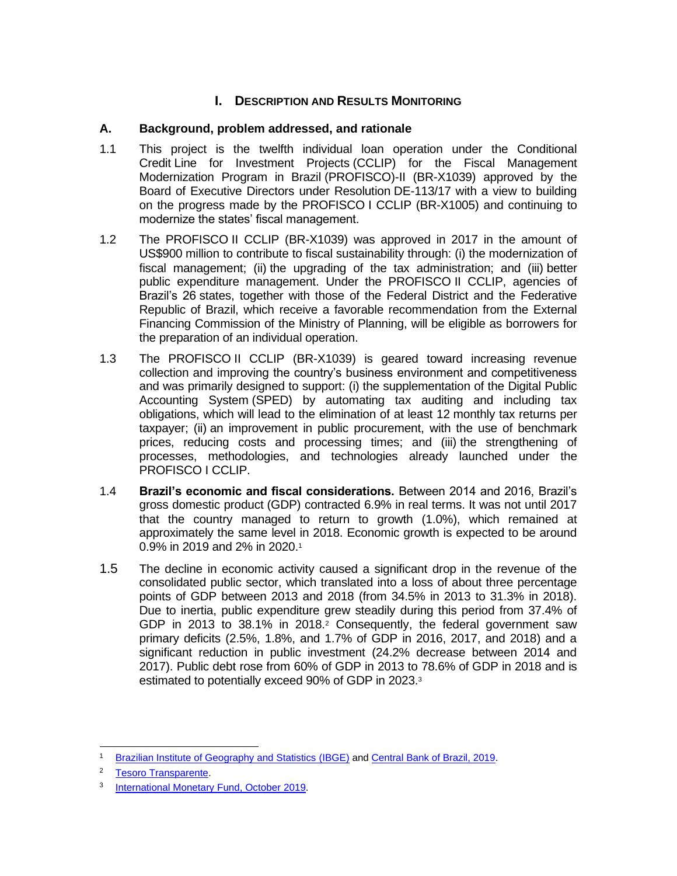## **I.** DESCRIPTION AND RESULTS MONITORING

## **A. Background, problem addressed, and rationale**

- 1.1 This project is the twelfth individual loan operation under the Conditional Credit Line for Investment Projects (CCLIP) for the Fiscal Management Modernization Program in Brazil (PROFISCO)-II (BR-X1039) approved by the Board of Executive Directors under Resolution DE-113/17 with a view to building on the progress made by the PROFISCO I CCLIP (BR-X1005) and continuing to modernize the states' fiscal management.
- 1.2 The PROFISCO II CCLIP (BR-X1039) was approved in 2017 in the amount of US\$900 million to contribute to fiscal sustainability through: (i) the modernization of fiscal management; (ii) the upgrading of the tax administration; and (iii) better public expenditure management. Under the PROFISCO II CCLIP, agencies of Brazil's 26 states, together with those of the Federal District and the Federative Republic of Brazil, which receive a favorable recommendation from the External Financing Commission of the Ministry of Planning, will be eligible as borrowers for the preparation of an individual operation.
- 1.3 The PROFISCO II CCLIP (BR-X1039) is geared toward increasing revenue collection and improving the country's business environment and competitiveness and was primarily designed to support: (i) the supplementation of the Digital Public Accounting System (SPED) by automating tax auditing and including tax obligations, which will lead to the elimination of at least 12 monthly tax returns per taxpayer; (ii) an improvement in public procurement, with the use of benchmark prices, reducing costs and processing times; and (iii) the strengthening of processes, methodologies, and technologies already launched under the PROFISCO I CCLIP.
- 1.4 **Brazil's economic and fiscal considerations.** Between 2014 and 2016, Brazil's gross domestic product (GDP) contracted 6.9% in real terms. It was not until 2017 that the country managed to return to growth (1.0%), which remained at approximately the same level in 2018. Economic growth is expected to be around 0.9% in 2019 and 2% in 2020.<sup>1</sup>
- 1.5 The decline in economic activity caused a significant drop in the revenue of the consolidated public sector, which translated into a loss of about three percentage points of GDP between 2013 and 2018 (from 34.5% in 2013 to 31.3% in 2018). Due to inertia, public expenditure grew steadily during this period from 37.4% of GDP in 2013 to 38.1% in 2018.<sup>2</sup> Consequently, the federal government saw primary deficits (2.5%, 1.8%, and 1.7% of GDP in 2016, 2017, and 2018) and a significant reduction in public investment (24.2% decrease between 2014 and 2017). Public debt rose from 60% of GDP in 2013 to 78.6% of GDP in 2018 and is estimated to potentially exceed 90% of GDP in 2023.<sup>3</sup>

<sup>1</sup> [Brazilian Institute of Geography and Statistics](https://www.ibge.gov.br/estatisticas/economicas/contas-nacionais/9052-sistema-de-contas-nacionais-brasil.html?=&t=o-que-e) (IBGE) and [Central Bank of Brazil, 2019.](https://www.bcb.gov.br/content/focus/focus/R20190927.pdf)

<sup>2</sup> [Tesoro Transparente.](https://www.tesourotransparente.gov.br/)

<sup>&</sup>lt;sup>3</sup> [International Monetary Fund, October](https://www.imf.org/en/Publications/WEO/Issues/2019/01/11/weo-update-january-2019) 2019.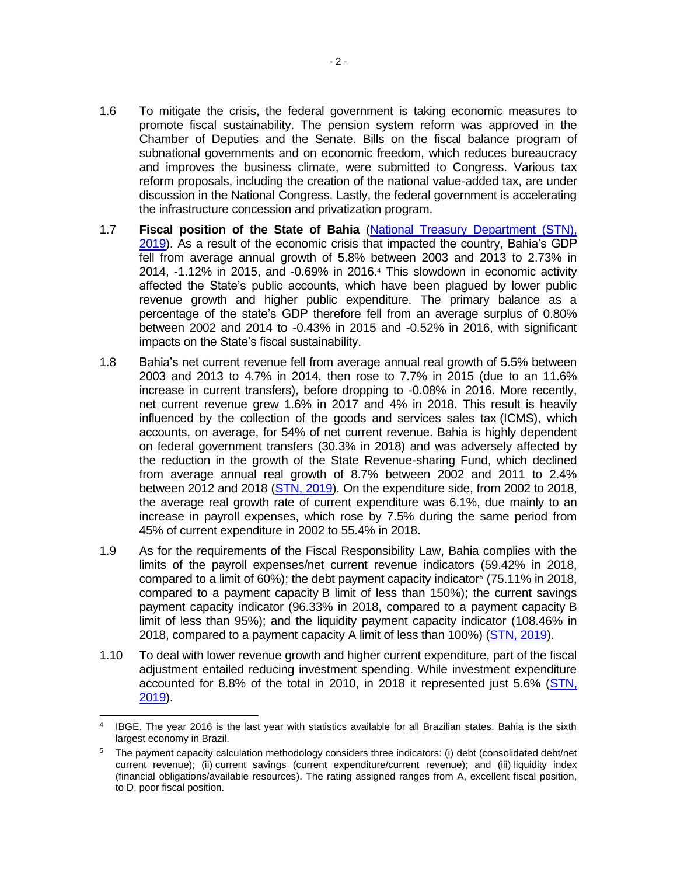- 1.6 To mitigate the crisis, the federal government is taking economic measures to promote fiscal sustainability. The pension system reform was approved in the Chamber of Deputies and the Senate. Bills on the fiscal balance program of subnational governments and on economic freedom, which reduces bureaucracy and improves the business climate, were submitted to Congress. Various tax reform proposals, including the creation of the national value-added tax, are under discussion in the National Congress. Lastly, the federal government is accelerating the infrastructure concession and privatization program.
- 1.7 **Fiscal position of the State of Bahia** [\(National Treasury Department \(STN\),](https://www.tesourotransparente.gov.br/publicacoes/boletim-de-financas-dos-entes-subnacionais/2019/114-2)  [2019\)](https://www.tesourotransparente.gov.br/publicacoes/boletim-de-financas-dos-entes-subnacionais/2019/114-2). As a result of the economic crisis that impacted the country, Bahia's GDP fell from average annual growth of 5.8% between 2003 and 2013 to 2.73% in 2014, -1.12% in 2015, and -0.69% in 2016.<sup>4</sup> This slowdown in economic activity affected the State's public accounts, which have been plagued by lower public revenue growth and higher public expenditure. The primary balance as a percentage of the state's GDP therefore fell from an average surplus of 0.80% between 2002 and 2014 to -0.43% in 2015 and -0.52% in 2016, with significant impacts on the State's fiscal sustainability.
- 1.8 Bahia's net current revenue fell from average annual real growth of 5.5% between 2003 and 2013 to 4.7% in 2014, then rose to 7.7% in 2015 (due to an 11.6% increase in current transfers), before dropping to -0.08% in 2016. More recently, net current revenue grew 1.6% in 2017 and 4% in 2018. This result is heavily influenced by the collection of the goods and services sales tax (ICMS), which accounts, on average, for 54% of net current revenue. Bahia is highly dependent on federal government transfers (30.3% in 2018) and was adversely affected by the reduction in the growth of the State Revenue-sharing Fund, which declined from average annual real growth of 8.7% between 2002 and 2011 to 2.4% between 2012 and 2018 [\(STN, 2019\)](https://www.tesourotransparente.gov.br/publicacoes/boletim-de-financas-dos-entes-subnacionais/2019/114-2). On the expenditure side, from 2002 to 2018, the average real growth rate of current expenditure was 6.1%, due mainly to an increase in payroll expenses, which rose by 7.5% during the same period from 45% of current expenditure in 2002 to 55.4% in 2018.
- 1.9 As for the requirements of the Fiscal Responsibility Law, Bahia complies with the limits of the payroll expenses/net current revenue indicators (59.42% in 2018, compared to a limit of 60%); the debt payment capacity indicator<sup>5</sup> (75.11% in 2018, compared to a payment capacity B limit of less than 150%); the current savings payment capacity indicator (96.33% in 2018, compared to a payment capacity B limit of less than 95%); and the liquidity payment capacity indicator (108.46% in 2018, compared to a payment capacity A limit of less than 100%) [\(STN, 2019\)](https://www.tesourotransparente.gov.br/publicacoes/boletim-de-financas-dos-entes-subnacionais/2019/114-2).
- 1.10 To deal with lower revenue growth and higher current expenditure, part of the fiscal adjustment entailed reducing investment spending. While investment expenditure accounted for 8.8% of the total in 2010, in 2018 it represented just 5.6% [\(STN,](https://www.tesourotransparente.gov.br/publicacoes/boletim-de-financas-dos-entes-subnacionais/2019/114-2)  [2019\)](https://www.tesourotransparente.gov.br/publicacoes/boletim-de-financas-dos-entes-subnacionais/2019/114-2).

<sup>4</sup> IBGE. The year 2016 is the last year with statistics available for all Brazilian states. Bahia is the sixth largest economy in Brazil.

<sup>5</sup> The payment capacity calculation methodology considers three indicators: (i) debt (consolidated debt/net current revenue); (ii) current savings (current expenditure/current revenue); and (iii) liquidity index (financial obligations/available resources). The rating assigned ranges from A, excellent fiscal position, to D, poor fiscal position.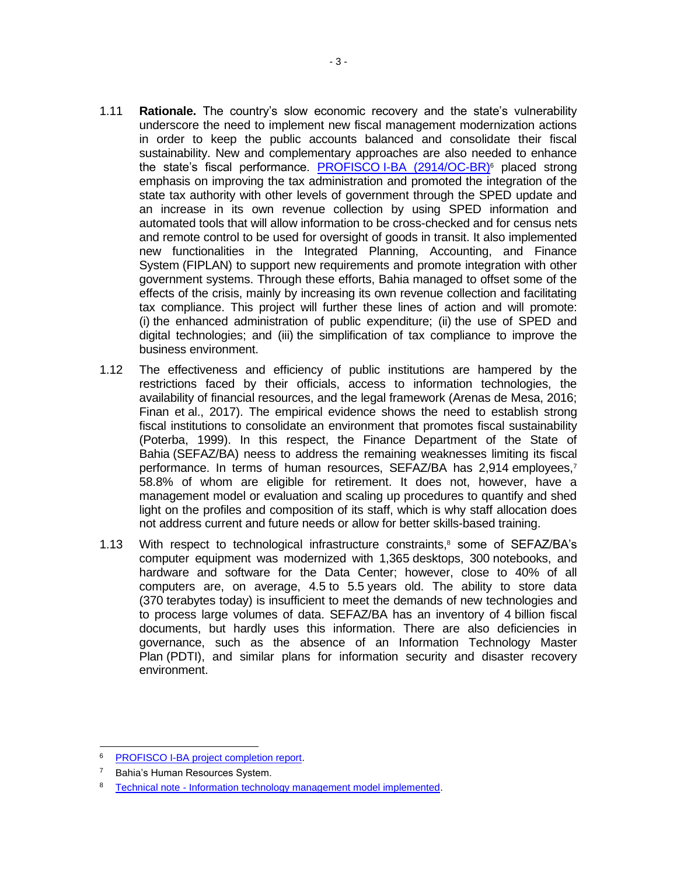- 1.11 **Rationale.** The country's slow economic recovery and the state's vulnerability underscore the need to implement new fiscal management modernization actions in order to keep the public accounts balanced and consolidate their fiscal sustainability. New and complementary approaches are also needed to enhance the state's fiscal performance. [PROFISCO](https://idbg.sharepoint.com/teams/EZ-BR-LON/BR-L1501/15%20LifeCycle%20Milestones/Draft%20Area/Logros%20apuntados%20en%20el%20PCR%20del%20PROFISCO%20I.docx?d=w8294daa29c334fada014cd176b121ba8) I-BA (2914/OC-BR)<sup>6</sup> placed strong emphasis on improving the tax administration and promoted the integration of the state tax authority with other levels of government through the SPED update and an increase in its own revenue collection by using SPED information and automated tools that will allow information to be cross-checked and for census nets and remote control to be used for oversight of goods in transit. It also implemented new functionalities in the Integrated Planning, Accounting, and Finance System (FIPLAN) to support new requirements and promote integration with other government systems. Through these efforts, Bahia managed to offset some of the effects of the crisis, mainly by increasing its own revenue collection and facilitating tax compliance. This project will further these lines of action and will promote: (i) the enhanced administration of public expenditure; (ii) the use of SPED and digital technologies; and (iii) the simplification of tax compliance to improve the business environment.
- 1.12 The effectiveness and efficiency of public institutions are hampered by the restrictions faced by their officials, access to information technologies, the availability of financial resources, and the legal framework (Arenas de Mesa, 2016; Finan et al., 2017). The empirical evidence shows the need to establish strong fiscal institutions to consolidate an environment that promotes fiscal sustainability (Poterba, 1999). In this respect, the Finance Department of the State of Bahia (SEFAZ/BA) neess to address the remaining weaknesses limiting its fiscal performance. In terms of human resources, SEFAZ/BA has 2,914 employees,7 58.8% of whom are eligible for retirement. It does not, however, have a management model or evaluation and scaling up procedures to quantify and shed light on the profiles and composition of its staff, which is why staff allocation does not address current and future needs or allow for better skills-based training.
- 1.13 With respect to technological infrastructure constraints, <sup>8</sup> some of SEFAZ/BA's computer equipment was modernized with 1,365 desktops, 300 notebooks, and hardware and software for the Data Center; however, close to 40% of all computers are, on average, 4.5 to 5.5 years old. The ability to store data (370 terabytes today) is insufficient to meet the demands of new technologies and to process large volumes of data. SEFAZ/BA has an inventory of 4 billion fiscal documents, but hardly uses this information. There are also deficiencies in governance, such as the absence of an Information Technology Master Plan (PDTI), and similar plans for information security and disaster recovery environment.

PROFISCO [I-BA project completion report.](http://idbdocs.iadb.org/wsdocs/getDocument.aspx?DOCNUM=EZSHARE-1326839135-1)

<sup>7</sup> Bahia's Human Resources System.

<sup>&</sup>lt;sup>8</sup> Technical note - [Information technology management model implemented.](http://idbdocs.iadb.org/wsdocs/getDocument.aspx?DOCNUM=EZSHARE-1326839135-16)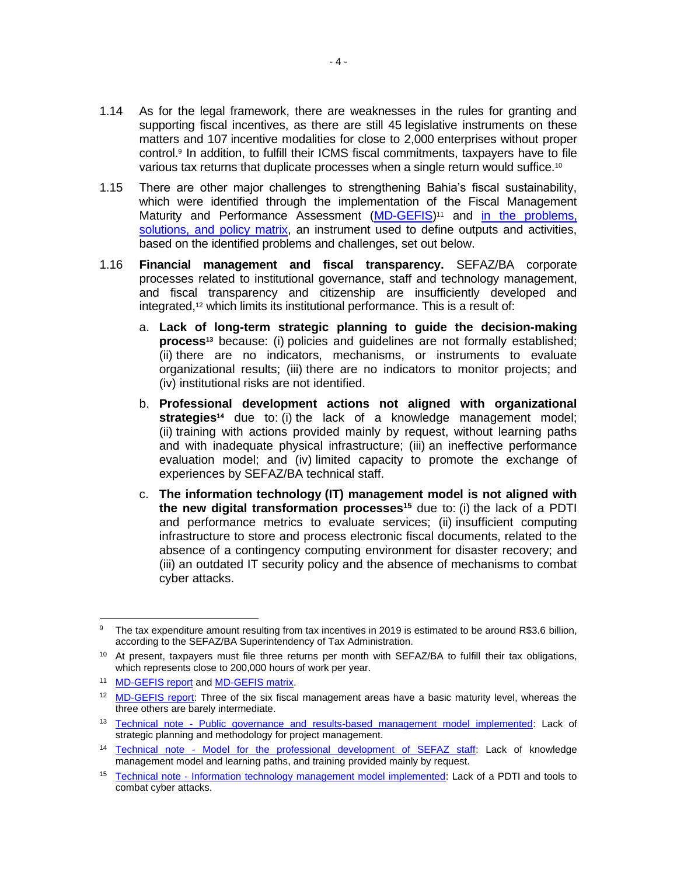- 1.14 As for the legal framework, there are weaknesses in the rules for granting and supporting fiscal incentives, as there are still 45 legislative instruments on these matters and 107 incentive modalities for close to 2,000 enterprises without proper control.<sup>9</sup> In addition, to fulfill their ICMS fiscal commitments, taxpayers have to file various tax returns that duplicate processes when a single return would suffice.<sup>10</sup>
- 1.15 There are other major challenges to strengthening Bahia's fiscal sustainability, which were identified through the implementation of the Fiscal Management Maturity and Performance Assessment [\(MD-GEFIS\)](http://idbdocs.iadb.org/wsdocs/getDocument.aspx?DOCNUM=EZSHARE-1326839135-2)<sup>11</sup> and in the problems, [solutions, and policy matrix,](http://idbdocs.iadb.org/wsdocs/getDocument.aspx?DOCNUM=EZSHARE-1326839135-4) an instrument used to define outputs and activities, based on the identified problems and challenges, set out below.
- 1.16 **Financial management and fiscal transparency.** SEFAZ/BA corporate processes related to institutional governance, staff and technology management, and fiscal transparency and citizenship are insufficiently developed and integrated,<sup>12</sup> which limits its institutional performance. This is a result of:
	- a. **Lack of long-term strategic planning to guide the decision-making process<sup>13</sup>** because: (i) policies and guidelines are not formally established; (ii) there are no indicators, mechanisms, or instruments to evaluate organizational results; (iii) there are no indicators to monitor projects; and (iv) institutional risks are not identified.
	- b. **Professional development actions not aligned with organizational strategies<sup>14</sup>** due to: (i) the lack of a knowledge management model; (ii) training with actions provided mainly by request, without learning paths and with inadequate physical infrastructure; (iii) an ineffective performance evaluation model; and (iv) limited capacity to promote the exchange of experiences by SEFAZ/BA technical staff.
	- c. **The information technology (IT) management model is not aligned with the new digital transformation processes<sup>15</sup>** due to: (i) the lack of a PDTI and performance metrics to evaluate services; (ii) insufficient computing infrastructure to store and process electronic fiscal documents, related to the absence of a contingency computing environment for disaster recovery; and (iii) an outdated IT security policy and the absence of mechanisms to combat cyber attacks.

<sup>&</sup>lt;sup>9</sup> The tax expenditure amount resulting from tax incentives in 2019 is estimated to be around R\$3.6 billion, according to the SEFAZ/BA Superintendency of Tax Administration.

<sup>&</sup>lt;sup>10</sup> At present, taxpayers must file three returns per month with SEFAZ/BA to fulfill their tax obligations, which represents close to 200,000 hours of work per year.

<sup>11</sup> [MD-GEFIS report](http://idbdocs.iadb.org/wsdocs/getDocument.aspx?DOCNUM=EZSHARE-1326839135-2) and [MD-GEFIS matrix.](http://idbdocs.iadb.org/wsdocs/getDocument.aspx?DOCNUM=EZSHARE-876112479-28)

<sup>&</sup>lt;sup>12</sup> [MD-GEFIS report:](http://idbdocs.iadb.org/wsdocs/getDocument.aspx?DOCNUM=EZSHARE-1326839135-2) Three of the six fiscal management areas have a basic maturity level, whereas the three others are barely intermediate.

<sup>&</sup>lt;sup>13</sup> Technical note - [Public governance and results-based management model implemented:](http://idbdocs.iadb.org/wsdocs/getDocument.aspx?DOCNUM=EZSHARE-1326839135-14) Lack of strategic planning and methodology for project management.

<sup>14</sup> Technical note - [Model for the professional development of SEFAZ staff:](http://idbdocs.iadb.org/wsdocs/getDocument.aspx?DOCNUM=EZSHARE-1326839135-15) Lack of knowledge management model and learning paths, and training provided mainly by request.

<sup>15</sup> Technical note - [Information technology management model implemented:](http://idbdocs.iadb.org/wsdocs/getDocument.aspx?DOCNUM=EZSHARE-1326839135-16) Lack of a PDTI and tools to combat cyber attacks.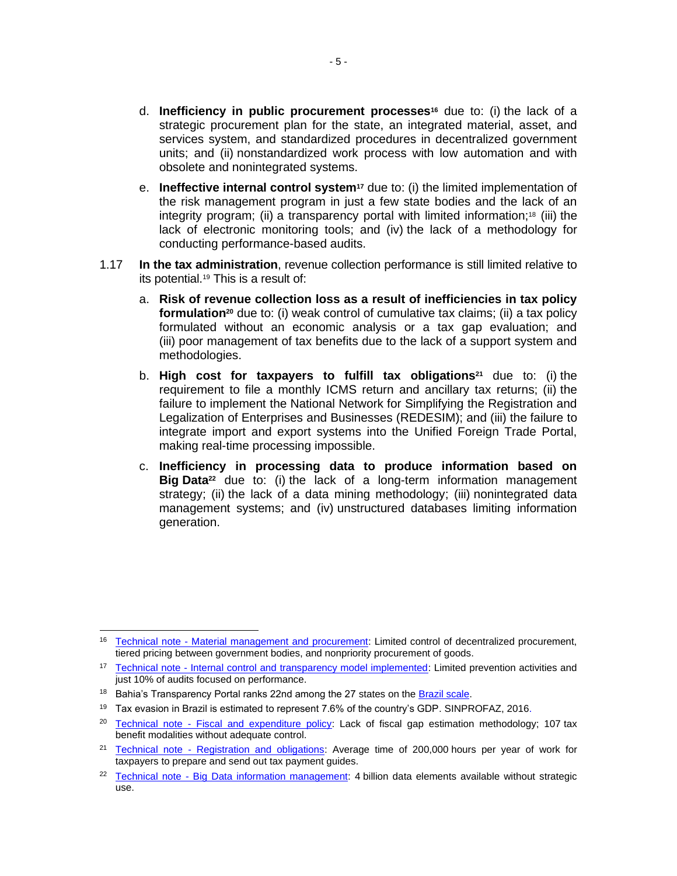- d. **Inefficiency in public procurement processes<sup>16</sup>** due to: (i) the lack of a strategic procurement plan for the state, an integrated material, asset, and services system, and standardized procedures in decentralized government units; and (ii) nonstandardized work process with low automation and with obsolete and nonintegrated systems.
- e. **Ineffective internal control system<sup>17</sup>** due to: (i) the limited implementation of the risk management program in just a few state bodies and the lack of an integrity program; (ii) a transparency portal with limited information;<sup>18</sup> (iii) the lack of electronic monitoring tools; and (iv) the lack of a methodology for conducting performance-based audits.
- 1.17 **In the tax administration**, revenue collection performance is still limited relative to its potential.<sup>19</sup> This is a result of:
	- a. **Risk of revenue collection loss as a result of inefficiencies in tax policy formulation<sup>20</sup>** due to: (i) weak control of cumulative tax claims; (ii) a tax policy formulated without an economic analysis or a tax gap evaluation; and (iii) poor management of tax benefits due to the lack of a support system and methodologies.
	- b. **High cost for taxpayers to fulfill tax obligations<sup>21</sup>** due to: (i) the requirement to file a monthly ICMS return and ancillary tax returns; (ii) the failure to implement the National Network for Simplifying the Registration and Legalization of Enterprises and Businesses (REDESIM); and (iii) the failure to integrate import and export systems into the Unified Foreign Trade Portal, making real-time processing impossible.
	- c. **Inefficiency in processing data to produce information based on Big Data<sup>22</sup>** due to: (i) the lack of a long-term information management strategy; (ii) the lack of a data mining methodology; (iii) nonintegrated data management systems; and (iv) unstructured databases limiting information generation.

<sup>&</sup>lt;sup>16</sup> Technical note - [Material management and procurement:](http://idbdocs.iadb.org/wsdocs/getDocument.aspx?DOCNUM=EZSHARE-1326839135-17) Limited control of decentralized procurement, tiered pricing between government bodies, and nonpriority procurement of goods.

<sup>&</sup>lt;sup>17</sup> Technical note - [Internal control and transparency model implemented:](http://idbdocs.iadb.org/wsdocs/getDocument.aspx?DOCNUM=EZSHARE-1326839135-19) Limited prevention activities and just 10% of audits focused on performance.

<sup>&</sup>lt;sup>18</sup> Bahia's Transparency Portal ranks 22nd among the 27 states on the **Brazil scale**.

<sup>&</sup>lt;sup>19</sup> Tax evasion in Brazil is estimated to represent 7.6% of the country's GDP. SINPROFAZ, 2016.

<sup>&</sup>lt;sup>20</sup> Technical note - [Fiscal and expenditure policy:](http://idbdocs.iadb.org/wsdocs/getDocument.aspx?DOCNUM=EZSHARE-1326839135-20) Lack of fiscal gap estimation methodology; 107 tax benefit modalities without adequate control.

<sup>&</sup>lt;sup>21</sup> Technical note - [Registration and obligations:](http://idbdocs.iadb.org/wsdocs/getDocument.aspx?DOCNUM=EZSHARE-1326839135-21) Average time of 200,000 hours per year of work for taxpayers to prepare and send out tax payment guides.

<sup>&</sup>lt;sup>22</sup> Technical note - [Big Data information management:](http://idbdocs.iadb.org/wsdocs/getDocument.aspx?DOCNUM=EZSHARE-1326839135-23) 4 billion data elements available without strategic use.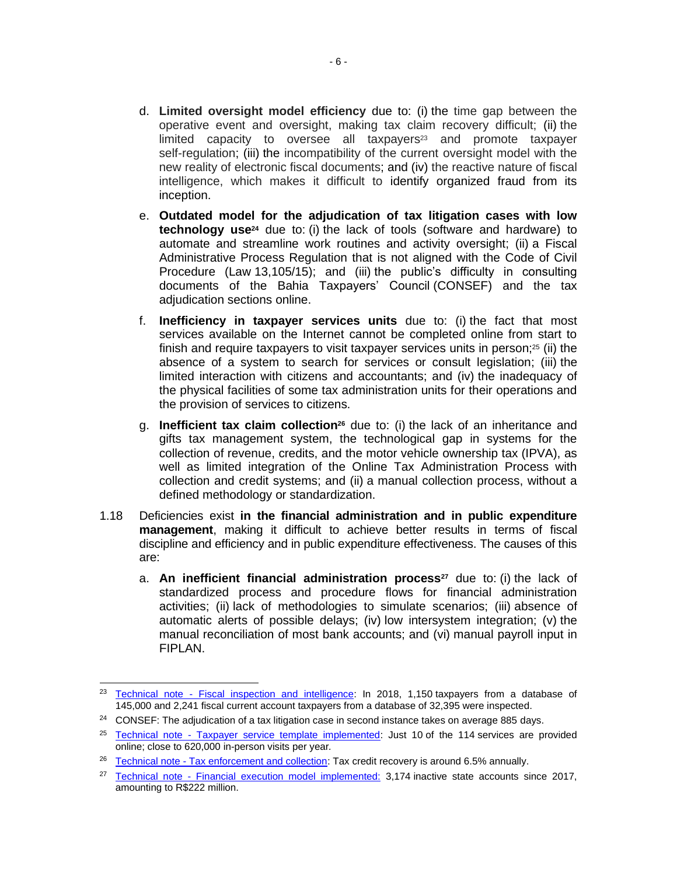- d. **Limited oversight model efficiency** due to: (i) the time gap between the operative event and oversight, making tax claim recovery difficult; (ii) the limited capacity to oversee all taxpayers $23$  and promote taxpayer self-regulation; (iii) the incompatibility of the current oversight model with the new reality of electronic fiscal documents; and (iv) the reactive nature of fiscal intelligence, which makes it difficult to identify organized fraud from its inception.
- e. **Outdated model for the adjudication of tax litigation cases with low technology use<sup>24</sup>** due to: (i) the lack of tools (software and hardware) to automate and streamline work routines and activity oversight; (ii) a Fiscal Administrative Process Regulation that is not aligned with the Code of Civil Procedure (Law 13,105/15); and (iii) the public's difficulty in consulting documents of the Bahia Taxpayers' Council (CONSEF) and the tax adjudication sections online.
- f. **Inefficiency in taxpayer services units** due to: (i) the fact that most services available on the Internet cannot be completed online from start to finish and require taxpayers to visit taxpayer services units in person; $25$  (ii) the absence of a system to search for services or consult legislation; (iii) the limited interaction with citizens and accountants; and (iv) the inadequacy of the physical facilities of some tax administration units for their operations and the provision of services to citizens.
- g. **Inefficient tax claim collection<sup>26</sup>** due to: (i) the lack of an inheritance and gifts tax management system, the technological gap in systems for the collection of revenue, credits, and the motor vehicle ownership tax (IPVA), as well as limited integration of the Online Tax Administration Process with collection and credit systems; and (ii) a manual collection process, without a defined methodology or standardization.
- 1.18 Deficiencies exist **in the financial administration and in public expenditure management**, making it difficult to achieve better results in terms of fiscal discipline and efficiency and in public expenditure effectiveness. The causes of this are:
	- a. **An inefficient financial administration process<sup>27</sup>** due to: (i) the lack of standardized process and procedure flows for financial administration activities; (ii) lack of methodologies to simulate scenarios; (iii) absence of automatic alerts of possible delays; (iv) low intersystem integration; (v) the manual reconciliation of most bank accounts; and (vi) manual payroll input in FIPLAN.

<sup>&</sup>lt;sup>23</sup> Technical note - [Fiscal inspection and intelligence:](http://idbdocs.iadb.org/wsdocs/getDocument.aspx?DOCNUM=EZSHARE-1326839135-24) In 2018, 1,150 taxpayers from a database of 145,000 and 2,241 fiscal current account taxpayers from a database of 32,395 were inspected.

<sup>&</sup>lt;sup>24</sup> CONSEF: The adjudication of a tax litigation case in second instance takes on average 885 days.

 $25$  Technical note - [Taxpayer service template implemented:](http://idbdocs.iadb.org/wsdocs/getDocument.aspx?DOCNUM=EZSHARE-1326839135-26) Just 10 of the 114 services are provided online; close to 620,000 in-person visits per year*.*

<sup>&</sup>lt;sup>26</sup> Technical note - [Tax enforcement and collection:](http://idbdocs.iadb.org/wsdocs/getDocument.aspx?DOCNUM=EZSHARE-1326839135-27) Tax credit recovery is around 6.5% annually.

<sup>&</sup>lt;sup>27</sup> Technical note - [Financial execution model implemented:](http://idbdocs.iadb.org/wsdocs/getDocument.aspx?DOCNUM=EZSHARE-1326839135-28) 3,174 inactive state accounts since 2017, amounting to R\$222 million.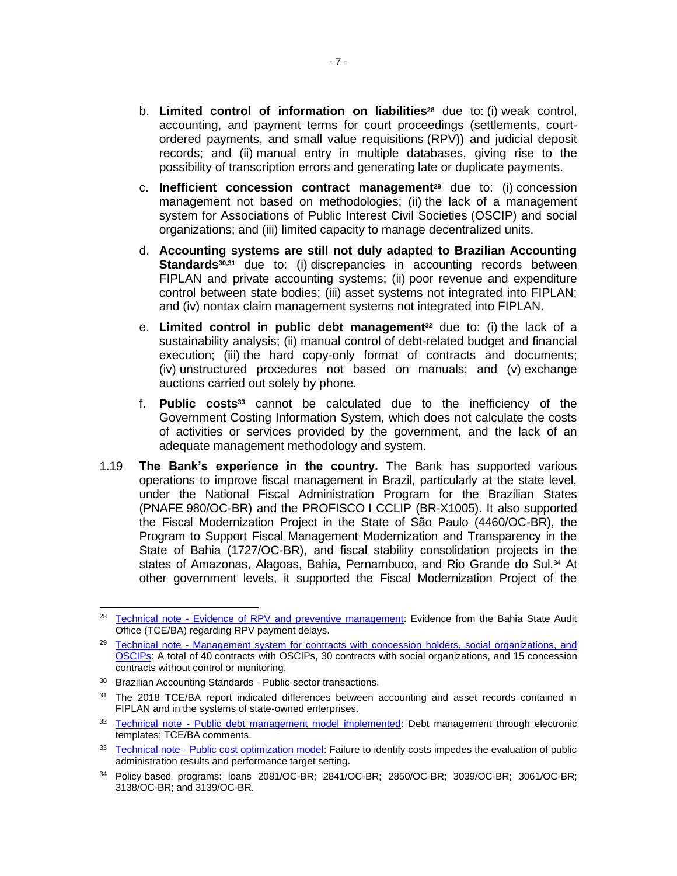- b. **Limited control of information on liabilities<sup>28</sup>** due to: (i) weak control, accounting, and payment terms for court proceedings (settlements, courtordered payments, and small value requisitions (RPV)) and judicial deposit records; and (ii) manual entry in multiple databases, giving rise to the possibility of transcription errors and generating late or duplicate payments.
- c. **Inefficient concession contract management<sup>29</sup>** due to: (i) concession management not based on methodologies; (ii) the lack of a management system for Associations of Public Interest Civil Societies (OSCIP) and social organizations; and (iii) limited capacity to manage decentralized units.
- d. **Accounting systems are still not duly adapted to Brazilian Accounting Standards**<sup>30,31</sup> due to: (i) discrepancies in accounting records between FIPLAN and private accounting systems; (ii) poor revenue and expenditure control between state bodies; (iii) asset systems not integrated into FIPLAN; and (iv) nontax claim management systems not integrated into FIPLAN.
- e. **Limited control in public debt management<sup>32</sup>** due to: (i) the lack of a sustainability analysis; (ii) manual control of debt-related budget and financial execution; (iii) the hard copy-only format of contracts and documents; (iv) unstructured procedures not based on manuals; and (v) exchange auctions carried out solely by phone.
- f. **Public costs<sup>33</sup>** cannot be calculated due to the inefficiency of the Government Costing Information System, which does not calculate the costs of activities or services provided by the government, and the lack of an adequate management methodology and system.
- 1.19 **The Bank's experience in the country.** The Bank has supported various operations to improve fiscal management in Brazil, particularly at the state level, under the National Fiscal Administration Program for the Brazilian States (PNAFE [980/OC-BR\) and the](https://idbg.sharepoint.com/teams/EZ-BR-CON/BR-X1039/_layouts/15/DocIdRedir.aspx?ID=EZSHARE-1935926188-11) PROFISCO I CCLIP (BR-X1005). It also supported the Fiscal Modernization Project in the State of São Paulo (4460/OC-BR), the Program to Support Fiscal Management Modernization and Transparency in the State of Bahia (1727/OC-BR), and fiscal stability consolidation projects in the states of Amazonas, Alagoas, Bahia, Pernambuco, and Rio Grande do Sul.<sup>34</sup> At other government levels, it supported the Fiscal Modernization Project of the

<sup>&</sup>lt;sup>28</sup> Technical note - [Evidence of RPV and preventive management:](http://idbdocs.iadb.org/wsdocs/getDocument.aspx?DOCNUM=EZSHARE-1326839135-34) Evidence from the Bahia State Audit Office (TCE/BA) regarding RPV payment delays.

<sup>&</sup>lt;sup>29</sup> Technical note - Management system for contracts with concession holders, social organizations, and [OSCIPs:](http://idbdocs.iadb.org/wsdocs/getDocument.aspx?DOCNUM=EZSHARE-1326839135-35) A total of 40 contracts with OSCIPs, 30 contracts with social organizations, and 15 concession contracts without control or monitoring.

<sup>30</sup> Brazilian Accounting Standards - Public-sector transactions.

<sup>&</sup>lt;sup>31</sup> The 2018 TCE/BA report indicated differences between accounting and asset records contained in FIPLAN and in the systems of state-owned enterprises.

<sup>&</sup>lt;sup>32</sup> Technical note - [Public debt management model implemented:](http://idbdocs.iadb.org/wsdocs/getDocument.aspx?DOCNUM=EZSHARE-1326839135-41) Debt management through electronic templates; TCE/BA comments.

<sup>&</sup>lt;sup>33</sup> Technical note - [Public cost optimization model:](http://idbdocs.iadb.org/wsdocs/getDocument.aspx?DOCNUM=EZSHARE-1326839135-11) Failure to identify costs impedes the evaluation of public administration results and performance target setting.

<sup>34</sup> Policy-based programs: loans 2081/OC-BR; 2841/OC-BR; 2850/OC-BR; 3039/OC-BR; 3061/OC-BR; 3138/OC-BR; and 3139/OC-BR.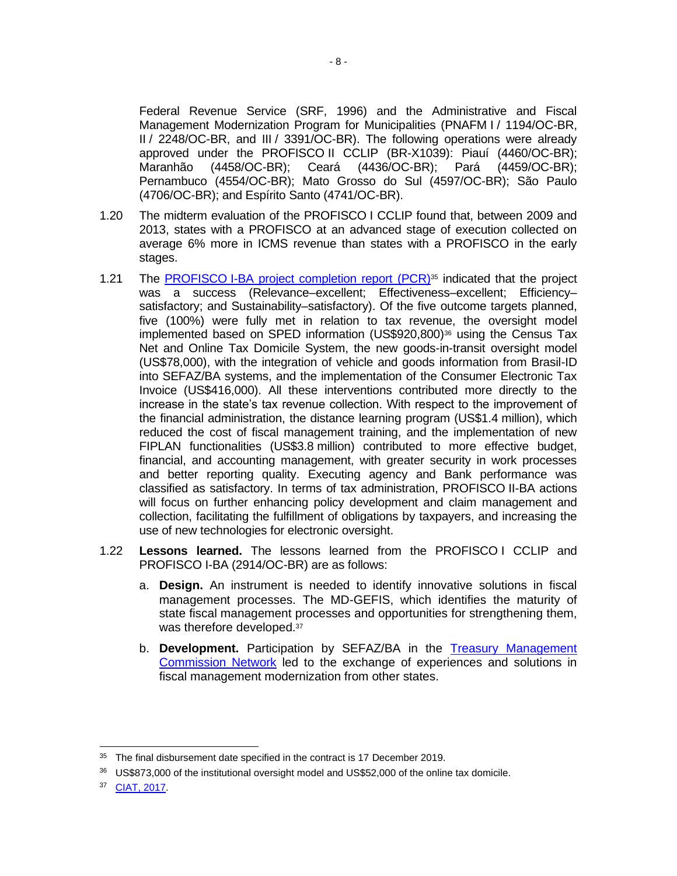Federal Revenue Service (SRF, 1996) and the Administrative and Fiscal Management Modernization Program for Municipalities (PNAFM I / 1194/OC-BR, II / 2248/OC-BR, and III / 3391/OC-BR). The following operations were already approved under the PROFISCO II CCLIP (BR-X1039): Piauí (4460/OC-BR); Maranhão (4458/OC-BR); Ceará (4436/OC-BR); Pará (4459/OC-BR); Pernambuco (4554/OC-BR); Mato Grosso do Sul (4597/OC-BR); São Paulo (4706/OC-BR); and Espírito Santo (4741/OC-BR).

- 1.20 The midterm evaluation of the PROFISCO I CCLIP found that, between 2009 and 2013, states with a PROFISCO at an advanced stage of execution collected on average 6% more in ICMS revenue than states with a PROFISCO in the early stages.
- 1.21 The PROFISCO [I-BA project completion report](http://idbdocs.iadb.org/wsdocs/getDocument.aspx?DOCNUM=EZSHARE-1326839135-1) (PCR)<sup>35</sup> indicated that the project was a success (Relevance–excellent; Effectiveness–excellent; Efficiency– satisfactory; and Sustainability–satisfactory). Of the five outcome targets planned, five (100%) were fully met in relation to tax revenue, the oversight model implemented based on SPED information (US\$920,800)<sup>36</sup> using the Census Tax Net and Online Tax Domicile System, the new goods-in-transit oversight model (US\$78,000), with the integration of vehicle and goods information from Brasil-ID into SEFAZ/BA systems, and the implementation of the Consumer Electronic Tax Invoice (US\$416,000). All these interventions contributed more directly to the increase in the state's tax revenue collection. With respect to the improvement of the financial administration, the distance learning program (US\$1.4 million), which reduced the cost of fiscal management training, and the implementation of new FIPLAN functionalities (US\$3.8 million) contributed to more effective budget, financial, and accounting management, with greater security in work processes and better reporting quality. Executing agency and Bank performance was classified as satisfactory. In terms of tax administration, PROFISCO II-BA actions will focus on further enhancing policy development and claim management and collection, facilitating the fulfillment of obligations by taxpayers, and increasing the use of new technologies for electronic oversight.
- 1.22 **Lessons learned.** The lessons learned from the PROFISCO I CCLIP and PROFISCO I-BA (2914/OC-BR) are as follows:
	- a. **Design.** An instrument is needed to identify innovative solutions in fiscal management processes. The MD-GEFIS, which identifies the maturity of state fiscal management processes and opportunities for strengthening them, was therefore developed.<sup>37</sup>
	- b. **Development.** Participation by SEFAZ/BA in the [Treasury Management](http://www.cogef.ms.gov.br/)  [Commission Network](http://www.cogef.ms.gov.br/) led to the exchange of experiences and solutions in fiscal management modernization from other states.

<sup>&</sup>lt;sup>35</sup> The final disbursement date specified in the contract is 17 December 2019.

<sup>36</sup> US\$873,000 of the institutional oversight model and US\$52,000 of the online tax domicile.

<sup>37</sup> [CIAT, 2017.](https://www.ciat.org/Biblioteca/Revista/Revista_42/Espanol/2017_RA_42_bid-br.pdf)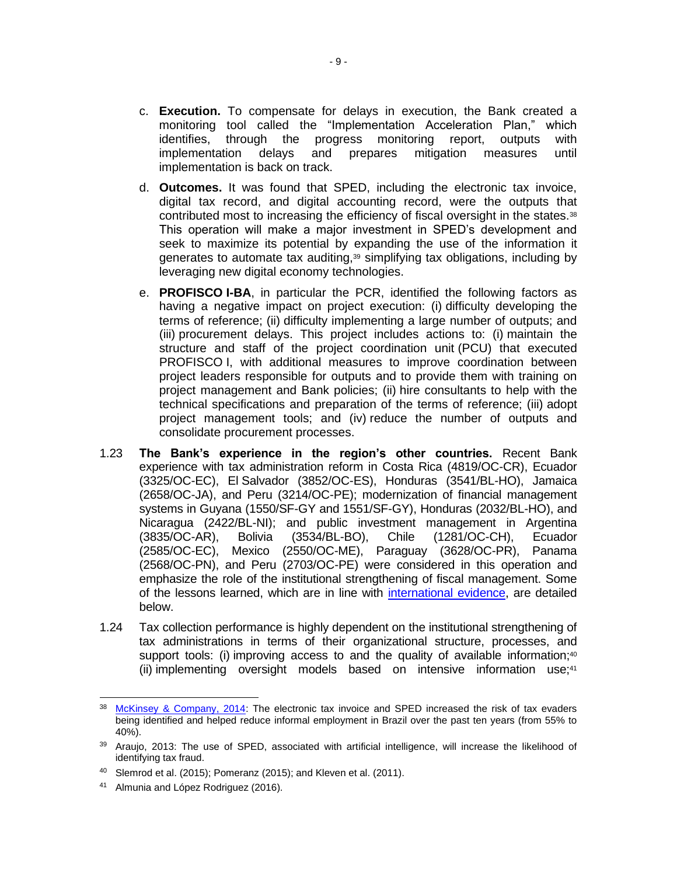- c. **Execution.** To compensate for delays in execution, the Bank created a monitoring tool called the "Implementation Acceleration Plan," which identifies, through the progress monitoring report, outputs with implementation delays and prepares mitigation measures until implementation is back on track.
- d. **Outcomes.** It was found that SPED, including the electronic tax invoice, digital tax record, and digital accounting record, were the outputs that contributed most to increasing the efficiency of fiscal oversight in the states.<sup>38</sup> This operation will make a major investment in SPED's development and seek to maximize its potential by expanding the use of the information it generates to automate tax auditing,<sup>39</sup> simplifying tax obligations, including by leveraging new digital economy technologies.
- e. **PROFISCO I-BA**, in particular the PCR, identified the following factors as having a negative impact on project execution: (i) difficulty developing the terms of reference; (ii) difficulty implementing a large number of outputs; and (iii) procurement delays. This project includes actions to: (i) maintain the structure and staff of the project coordination unit (PCU) that executed PROFISCO I, with additional measures to improve coordination between project leaders responsible for outputs and to provide them with training on project management and Bank policies; (ii) hire consultants to help with the technical specifications and preparation of the terms of reference; (iii) adopt project management tools; and (iv) reduce the number of outputs and consolidate procurement processes.
- 1.23 **The Bank's experience in the region's other countries.** Recent Bank experience with tax administration reform in Costa Rica (4819/OC-CR), Ecuador (3325/OC-EC), El Salvador (3852/OC-ES), Honduras (3541/BL-HO), Jamaica (2658/OC-JA), and Peru (3214/OC-PE); modernization of financial management systems in Guyana (1550/SF-GY and 1551/SF-GY), Honduras (2032/BL-HO), and Nicaragua (2422/BL-NI); and public investment management in Argentina (3835/OC-AR), Bolivia (3534/BL-BO), Chile (1281/OC-CH), Ecuador (2585/OC-EC), Mexico (2550/OC-ME), Paraguay (3628/OC-PR), Panama (2568/OC-PN), and Peru (2703/OC-PE) were considered in this operation and emphasize the role of the institutional strengthening of fiscal management. Some of the lessons learned, which are in line with [international evidence,](http://idbdocs.iadb.org/wsdocs/getDocument.aspx?DOCNUM=EZSHARE-136685644-34) are detailed below.
- 1.24 Tax collection performance is highly dependent on the institutional strengthening of tax administrations in terms of their organizational structure, processes, and support tools: (i) improving access to and the quality of available information; $40$ (ii) implementing oversight models based on intensive information use;<sup>41</sup>

<sup>&</sup>lt;sup>38</sup> [McKinsey & Company, 2014:](https://idbg.sharepoint.com/teams/EZ-BR-LON/BR-L1502/05%20Basic%20Data/Diagnostico-da-informalidade_2014_resumo-livro-IDV-vfinal.pdf) The electronic tax invoice and SPED increased the risk of tax evaders being identified and helped reduce informal employment in Brazil over the past ten years (from 55% to 40%).

<sup>&</sup>lt;sup>39</sup> Araujo, 2013: The use of SPED, associated with artificial intelligence, will increase the likelihood of identifying tax fraud.

<sup>&</sup>lt;sup>40</sup> Slemrod et al. (2015); Pomeranz (2015); and Kleven et al. (2011).

<sup>41</sup> Almunia and López Rodriguez (2016).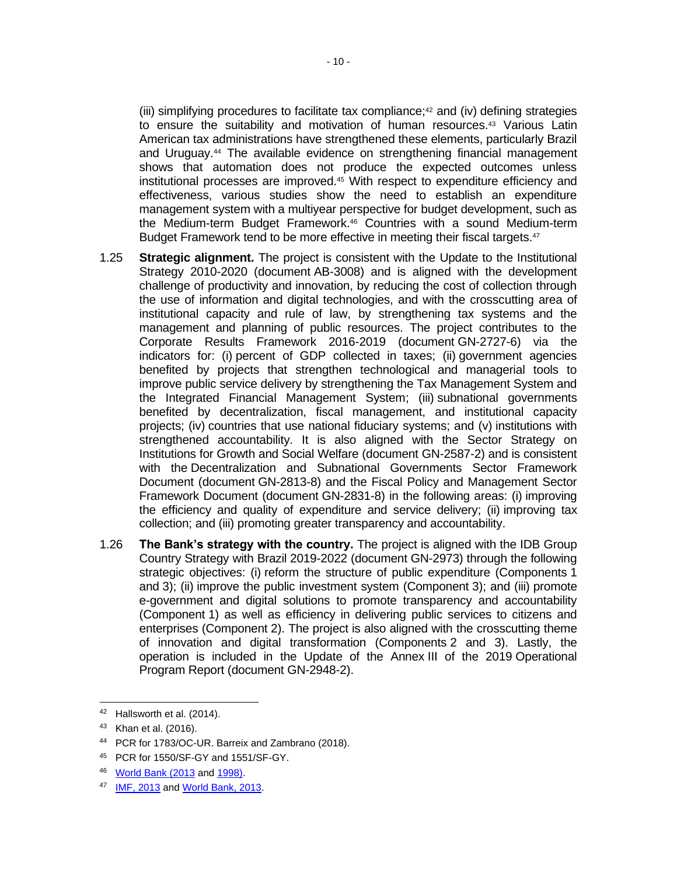(iii) simplifying procedures to facilitate tax compliance; $42$  and (iv) defining strategies to ensure the suitability and motivation of human resources.<sup>43</sup> Various Latin American tax administrations have strengthened these elements, particularly Brazil and Uruguay.<sup>44</sup> The available evidence on strengthening financial management shows that automation does not produce the expected outcomes unless institutional processes are improved.<sup>45</sup> With respect to expenditure efficiency and effectiveness, various studies show the need to establish an expenditure management system with a multiyear perspective for budget development, such as the Medium-term Budget Framework.<sup>46</sup> Countries with a sound Medium-term Budget Framework tend to be more effective in meeting their fiscal targets.<sup>47</sup>

- 1.25 **Strategic alignment.** The project is consistent with the Update to the Institutional Strategy 2010-2020 (document AB-3008) and is aligned with the development challenge of productivity and innovation, by reducing the cost of collection through the use of information and digital technologies, and with the crosscutting area of institutional capacity and rule of law, by strengthening tax systems and the management and planning of public resources. The project contributes to the Corporate Results Framework 2016-2019 (document GN-2727-6) via the indicators for: (i) percent of GDP collected in taxes; (ii) government agencies benefited by projects that strengthen technological and managerial tools to improve public service delivery by strengthening the Tax Management System and the Integrated Financial Management System; (iii) subnational governments benefited by decentralization, fiscal management, and institutional capacity projects; (iv) countries that use national fiduciary systems; and (v) institutions with strengthened accountability. It is also aligned with the Sector Strategy on Institutions for Growth and Social Welfare (document GN-2587-2) and is consistent with the Decentralization and Subnational Governments Sector Framework Document (document GN-2813-8) and the Fiscal Policy and Management Sector Framework Document (document GN-2831-8) in the following areas: (i) improving the efficiency and quality of expenditure and service delivery; (ii) improving tax collection; and (iii) promoting greater transparency and accountability.
- 1.26 **The Bank's strategy with the country.** The project is aligned with the IDB Group Country Strategy with Brazil 2019-2022 (document GN-2973) through the following strategic objectives: (i) reform the structure of public expenditure (Components 1 and 3); (ii) improve the public investment system (Component 3); and (iii) promote e-government and digital solutions to promote transparency and accountability (Component 1) as well as efficiency in delivering public services to citizens and enterprises (Component 2). The project is also aligned with the crosscutting theme of innovation and digital transformation (Components 2 and 3). Lastly, the operation is included in the Update of the Annex III of the 2019 Operational Program Report (document GN-2948-2).

<sup>42</sup> Hallsworth et al. (2014).

<sup>43</sup> Khan et al. (2016).

<sup>44</sup> [PCR for 1783/OC-UR.](http://idbdocs.iadb.org/wsdocs/getDocument.aspx?Docnum=38714772) Barreix and Zambrano (2018).

<sup>45</sup> PCR for 1550/SF-GY and 1551/SF-GY.

<sup>46</sup> [World Bank \(2013](https://openknowledge.worldbank.org/handle/10986/11971) an[d 1998\).](http://www1.worldbank.org/publicsector/pe/handbook/pem98.pdf)

<sup>47</sup> [IMF, 2013](https://www.imf.org/external/np/exr/bforums/2013/pfm/pdf/excerpt.pdf) and [World Bank, 2013.](https://openknowledge.worldbank.org/handle/10986/11971)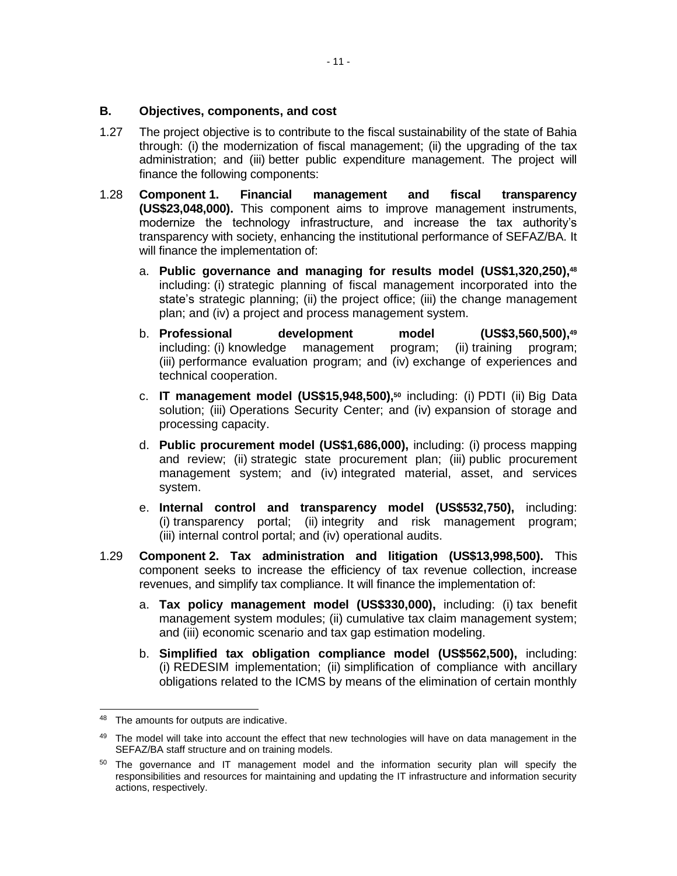#### **B. Objectives, components, and cost**

- 1.27 The project objective is to contribute to the fiscal sustainability of the state of Bahia through: (i) the modernization of fiscal management; (ii) the upgrading of the tax administration; and (iii) better public expenditure management. The project will finance the following components:
- 1.28 **Component 1. Financial management and fiscal transparency (US\$23,048,000).** This component aims to improve management instruments, modernize the technology infrastructure, and increase the tax authority's transparency with society, enhancing the institutional performance of SEFAZ/BA. It will finance the implementation of:
	- a. **Public governance and managing for results model (US\$1,320,250), 48** including: (i) strategic planning of fiscal management incorporated into the state's strategic planning; (ii) the project office; (iii) the change management plan; and (iv) a project and process management system.
	- b. **Professional development model (US\$3,560,500), 49** including: (i) knowledge management program; (ii) training program; (iii) performance evaluation program; and (iv) exchange of experiences and technical cooperation.
	- c. **IT management model (US\$15,948,500), <sup>50</sup>** including: (i) PDTI (ii) Big Data solution; (iii) Operations Security Center; and (iv) expansion of storage and processing capacity.
	- d. **Public procurement model (US\$1,686,000),** including: (i) process mapping and review; (ii) strategic state procurement plan; (iii) public procurement management system; and (iv) integrated material, asset, and services system.
	- e. **Internal control and transparency model (US\$532,750),** including: (i) transparency portal; (ii) integrity and risk management program; (iii) internal control portal; and (iv) operational audits.
- 1.29 **Component 2. Tax administration and litigation (US\$13,998,500).** This component seeks to increase the efficiency of tax revenue collection, increase revenues, and simplify tax compliance. It will finance the implementation of:
	- a. **Tax policy management model (US\$330,000),** including: (i) tax benefit management system modules; (ii) cumulative tax claim management system; and (iii) economic scenario and tax gap estimation modeling.
	- b. **Simplified tax obligation compliance model (US\$562,500),** including: (i) REDESIM implementation; (ii) simplification of compliance with ancillary obligations related to the ICMS by means of the elimination of certain monthly

<sup>48</sup> The amounts for outputs are indicative.

<sup>49</sup> The model will take into account the effect that new technologies will have on data management in the SEFAZ/BA staff structure and on training models.

 $50$  The governance and IT management model and the information security plan will specify the responsibilities and resources for maintaining and updating the IT infrastructure and information security actions, respectively.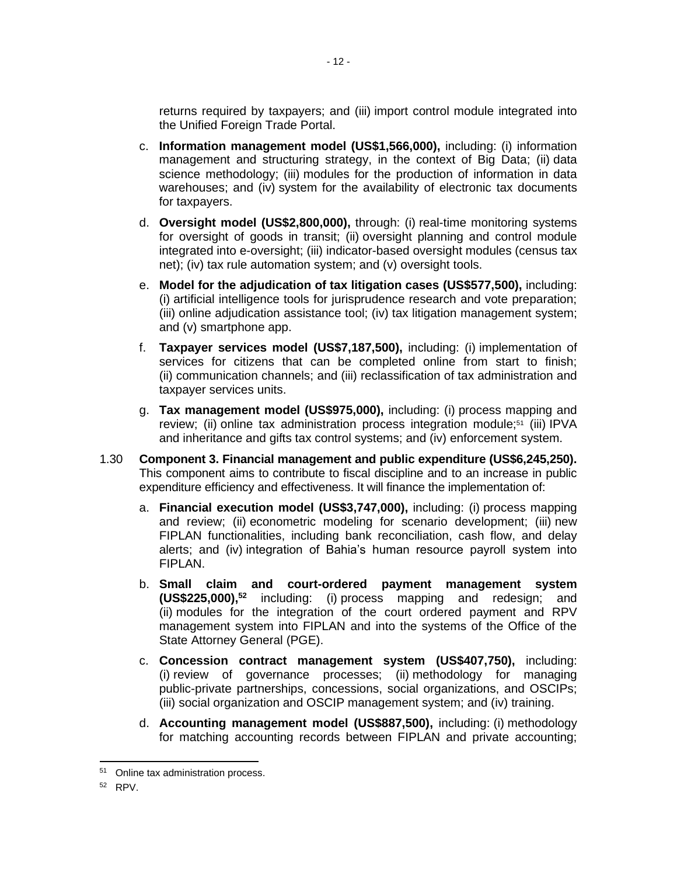returns required by taxpayers; and (iii) import control module integrated into the Unified Foreign Trade Portal.

- c. **Information management model (US\$1,566,000),** including: (i) information management and structuring strategy, in the context of Big Data; (ii) data science methodology; (iii) modules for the production of information in data warehouses; and (iv) system for the availability of electronic tax documents for taxpayers.
- d. **Oversight model (US\$2,800,000),** through: (i) real-time monitoring systems for oversight of goods in transit; (ii) oversight planning and control module integrated into e-oversight; (iii) indicator-based oversight modules (census tax net); (iv) tax rule automation system; and (v) oversight tools.
- e. **Model for the adjudication of tax litigation cases (US\$577,500),** including: (i) artificial intelligence tools for jurisprudence research and vote preparation; (iii) online adjudication assistance tool; (iv) tax litigation management system; and (v) smartphone app.
- f. **Taxpayer services model (US\$7,187,500),** including: (i) implementation of services for citizens that can be completed online from start to finish; (ii) communication channels; and (iii) reclassification of tax administration and taxpayer services units.
- g. **Tax management model (US\$975,000),** including: (i) process mapping and review; (ii) online tax administration process integration module;<sup>51</sup> (iii) IPVA and inheritance and gifts tax control systems; and (iv) enforcement system.
- 1.30 **Component 3. Financial management and public expenditure (US\$6,245,250).** This component aims to contribute to fiscal discipline and to an increase in public expenditure efficiency and effectiveness. It will finance the implementation of:
	- a. **Financial execution model (US\$3,747,000),** including: (i) process mapping and review; (ii) econometric modeling for scenario development; (iii) new FIPLAN functionalities, including bank reconciliation, cash flow, and delay alerts; and (iv) integration of Bahia's human resource payroll system into FIPLAN.
	- b. **Small claim and court-ordered payment management system (US\$225,000), <sup>52</sup>** including: (i) process mapping and redesign; and (ii) modules for the integration of the court ordered payment and RPV management system into FIPLAN and into the systems of the Office of the State Attorney General (PGE).
	- c. **Concession contract management system (US\$407,750),** including: (i) review of governance processes; (ii) methodology for managing public-private partnerships, concessions, social organizations, and OSCIPs; (iii) social organization and OSCIP management system; and (iv) training.
	- d. **Accounting management model (US\$887,500),** including: (i) methodology for matching accounting records between FIPLAN and private accounting;

<sup>51</sup> Online tax administration process.

<sup>52</sup> RPV.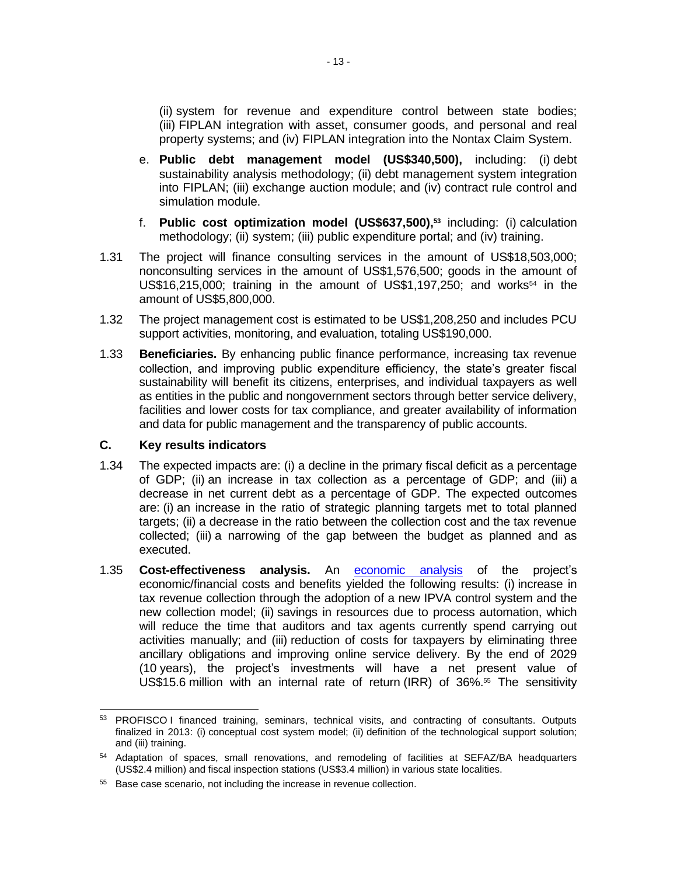(ii) system for revenue and expenditure control between state bodies; (iii) FIPLAN integration with asset, consumer goods, and personal and real property systems; and (iv) FIPLAN integration into the Nontax Claim System.

- e. **Public debt management model (US\$340,500),** including: (i) debt sustainability analysis methodology; (ii) debt management system integration into FIPLAN; (iii) exchange auction module; and (iv) contract rule control and simulation module.
- f. **Public cost optimization model (US\$637,500), <sup>53</sup>** including: (i) calculation methodology; (ii) system; (iii) public expenditure portal; and (iv) training.
- 1.31 The project will finance consulting services in the amount of US\$18,503,000; nonconsulting services in the amount of US\$1,576,500; goods in the amount of US\$16,215,000; training in the amount of US\$1,197,250; and works<sup>54</sup> in the amount of US\$5,800,000.
- 1.32 The project management cost is estimated to be US\$1,208,250 and includes PCU support activities, monitoring, and evaluation, totaling US\$190,000.
- 1.33 **Beneficiaries.** By enhancing public finance performance, increasing tax revenue collection, and improving public expenditure efficiency, the state's greater fiscal sustainability will benefit its citizens, enterprises, and individual taxpayers as well as entities in the public and nongovernment sectors through better service delivery, facilities and lower costs for tax compliance, and greater availability of information and data for public management and the transparency of public accounts.

#### **C. Key results indicators**

- 1.34 The expected impacts are: (i) a decline in the primary fiscal deficit as a percentage of GDP; (ii) an increase in tax collection as a percentage of GDP; and (iii) a decrease in net current debt as a percentage of GDP. The expected outcomes are: (i) an increase in the ratio of strategic planning targets met to total planned targets; (ii) a decrease in the ratio between the collection cost and the tax revenue collected; (iii) a narrowing of the gap between the budget as planned and as executed.
- 1.35 **Cost-effectiveness analysis.** An [economic analysis](http://idbdocs.iadb.org/wsdocs/getDocument.aspx?DOCNUM=EZSHARE-1326839135-3) of the project's economic/financial costs and benefits yielded the following results: (i) increase in tax revenue collection through the adoption of a new IPVA control system and the new collection model; (ii) savings in resources due to process automation, which will reduce the time that auditors and tax agents currently spend carrying out activities manually; and (iii) reduction of costs for taxpayers by eliminating three ancillary obligations and improving online service delivery. By the end of 2029 (10 years), the project's investments will have a net present value of US\$15.6 million with an internal rate of return (IRR) of 36%.<sup>55</sup> The sensitivity

<sup>53</sup> PROFISCO I financed training, seminars, technical visits, and contracting of consultants. Outputs finalized in 2013: (i) conceptual cost system model; (ii) definition of the technological support solution; and (iii) training.

<sup>&</sup>lt;sup>54</sup> Adaptation of spaces, small renovations, and remodeling of facilities at SEFAZ/BA headquarters (US\$2.4 million) and fiscal inspection stations (US\$3.4 million) in various state localities.

<sup>55</sup> Base case scenario, not including the increase in revenue collection.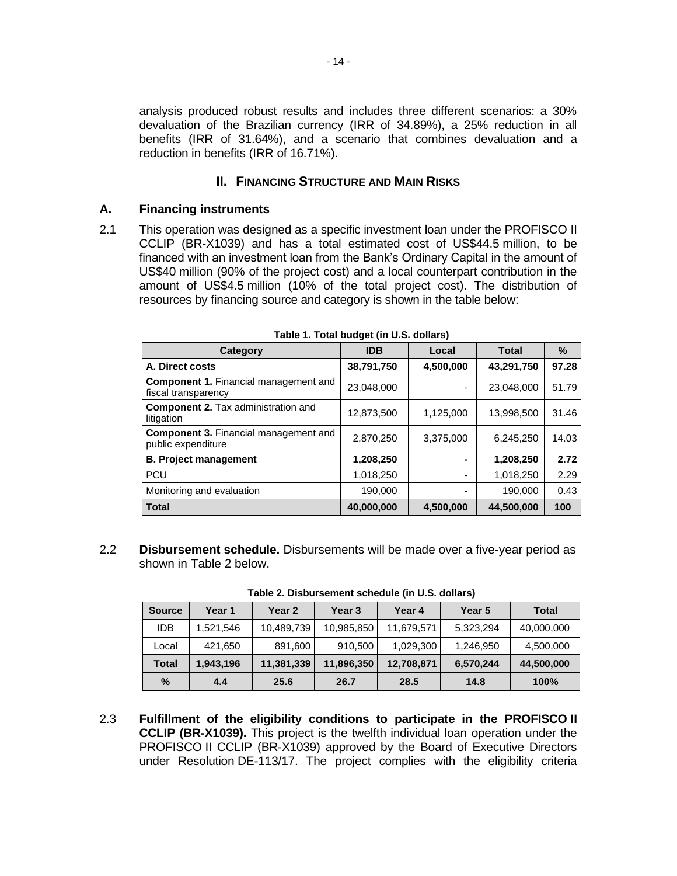analysis produced robust results and includes three different scenarios: a 30% devaluation of the Brazilian currency (IRR of 34.89%), a 25% reduction in all benefits (IRR of 31.64%), and a scenario that combines devaluation and a reduction in benefits (IRR of 16.71%).

## **II. FINANCING STRUCTURE AND MAIN RISKS**

#### **A. Financing instruments**

2.1 This operation was designed as a specific investment loan under the PROFISCO II CCLIP (BR-X1039) and has a total estimated cost of US\$44.5 million, to be financed with an investment loan from the Bank's Ordinary Capital in the amount of US\$40 million (90% of the project cost) and a local counterpart contribution in the amount of US\$4.5 million (10% of the total project cost). The distribution of resources by financing source and category is shown in the table below:

| Category                                                            | <b>IDB</b> | Local     | <b>Total</b> | $\%$  |
|---------------------------------------------------------------------|------------|-----------|--------------|-------|
| A. Direct costs                                                     | 38,791,750 | 4,500,000 | 43,291,750   | 97.28 |
| <b>Component 1. Financial management and</b><br>fiscal transparency | 23,048,000 | ۰         | 23,048,000   | 51.79 |
| <b>Component 2.</b> Tax administration and<br>litigation            | 12,873,500 | 1,125,000 | 13,998,500   | 31.46 |
| <b>Component 3. Financial management and</b><br>public expenditure  | 2,870,250  | 3,375,000 | 6,245,250    | 14.03 |
| <b>B. Project management</b>                                        | 1,208,250  |           | 1,208,250    | 2.72  |
| <b>PCU</b>                                                          | 1,018,250  |           | 1,018,250    | 2.29  |
| Monitoring and evaluation                                           | 190,000    |           | 190,000      | 0.43  |
| <b>Total</b>                                                        | 40,000,000 | 4,500,000 | 44,500,000   | 100   |

**Table 1. Total budget (in U.S. dollars)**

2.2 **Disbursement schedule.** Disbursements will be made over a five-year period as shown in Table 2 below.

| <b>Source</b> | Year 1    | Year 2     | Year 3     | Year 4     | Year 5    | <b>Total</b> |
|---------------|-----------|------------|------------|------------|-----------|--------------|
| <b>IDB</b>    | 1,521,546 | 10,489,739 | 10,985,850 | 11,679,571 | 5,323,294 | 40,000,000   |
| Local         | 421,650   | 891,600    | 910,500    | 1,029,300  | 1,246,950 | 4,500,000    |
| <b>Total</b>  | 1,943,196 | 11,381,339 | 11,896,350 | 12,708,871 | 6,570,244 | 44,500,000   |
| $\%$          | 4.4       | 25.6       | 26.7       | 28.5       | 14.8      | 100%         |

**Table 2. Disbursement schedule (in U.S. dollars)**

2.3 **Fulfillment of the eligibility conditions to participate in the PROFISCO II CCLIP (BR-X1039).** This project is the twelfth individual loan operation under the PROFISCO II CCLIP (BR-X1039) approved by the Board of Executive Directors under Resolution DE-113/17. The project complies with the eligibility criteria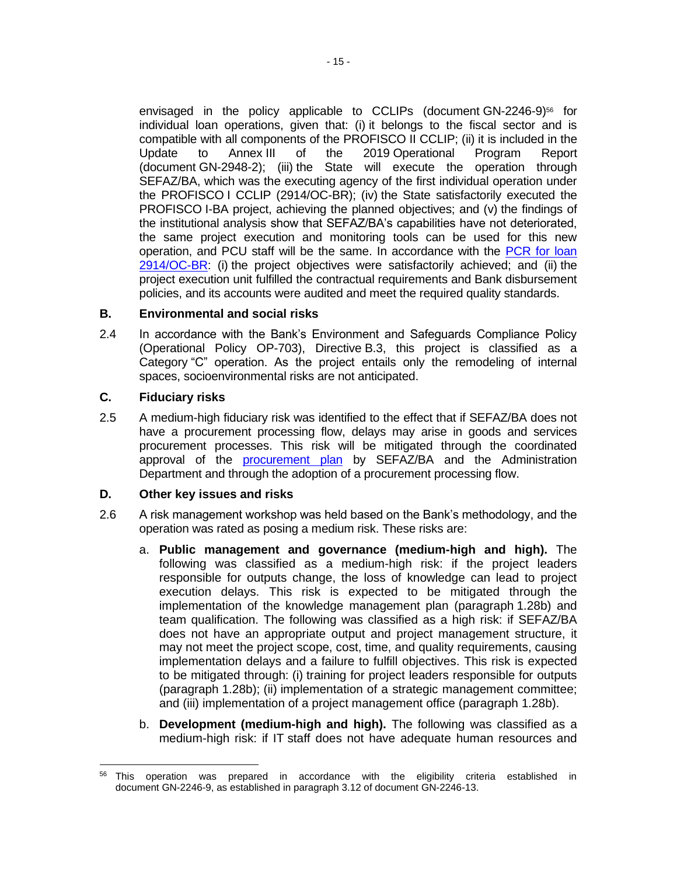envisaged in the policy applicable to CCLIPs (document GN-2246-9)<sup>56</sup> for individual loan operations, given that: (i) it belongs to the fiscal sector and is compatible with all components of the PROFISCO II CCLIP; (ii) it is included in the Update to Annex III of the 2019 Operational Program Report (document GN-2948-2); (iii) the State will execute the operation through SEFAZ/BA, which was the executing agency of the first individual operation under the PROFISCO I CCLIP (2914/OC-BR); (iv) the State satisfactorily executed the PROFISCO I-BA project, achieving the planned objectives; and (v) the findings of the institutional analysis show that SEFAZ/BA's capabilities have not deteriorated, the same project execution and monitoring tools can be used for this new operation, and PCU staff will be the same. In accordance with the [PCR for loan](http://idbdocs.iadb.org/wsdocs/getDocument.aspx?DOCNUM=EZSHARE-1326839135-1)  [2914/OC-BR:](http://idbdocs.iadb.org/wsdocs/getDocument.aspx?DOCNUM=EZSHARE-1326839135-1) (i) the project objectives were satisfactorily achieved; and (ii) the project execution unit fulfilled the contractual requirements and Bank disbursement policies, and its accounts were audited and meet the required quality standards.

### **B. Environmental and social risks**

2.4 In accordance with the Bank's Environment and Safeguards Compliance Policy (Operational Policy OP-703), Directive B.3, this project is classified as a Category "C" operation. As the project entails only the remodeling of internal spaces, socioenvironmental risks are not anticipated.

### **C. Fiduciary risks**

2.5 A medium-high fiduciary risk was identified to the effect that if SEFAZ/BA does not have a procurement processing flow, delays may arise in goods and services procurement processes. This risk will be mitigated through the coordinated approval of the **[procurement plan](http://idbdocs.iadb.org/wsdocs/getDocument.aspx?DOCNUM=EZSHARE-1326839135-5)** by SEFAZ/BA and the Administration Department and through the adoption of a procurement processing flow.

#### **D. Other key issues and risks**

- 2.6 A risk management workshop was held based on the Bank's methodology, and the operation was rated as posing a medium risk. These risks are:
	- a. **Public management and governance (medium-high and high).** The following was classified as a medium-high risk: if the project leaders responsible for outputs change, the loss of knowledge can lead to project execution delays. This risk is expected to be mitigated through the implementation of the knowledge management plan (paragraph 1.28b) and team qualification. The following was classified as a high risk: if SEFAZ/BA does not have an appropriate output and project management structure, it may not meet the project scope, cost, time, and quality requirements, causing implementation delays and a failure to fulfill objectives. This risk is expected to be mitigated through: (i) training for project leaders responsible for outputs (paragraph 1.28b); (ii) implementation of a strategic management committee; and (iii) implementation of a project management office (paragraph 1.28b).
	- b. **Development (medium-high and high).** The following was classified as a medium-high risk: if IT staff does not have adequate human resources and

<sup>&</sup>lt;sup>56</sup> This operation was prepared in accordance with the eligibility criteria established in document GN-2246-9, as established in paragraph 3.12 of document GN-2246-13.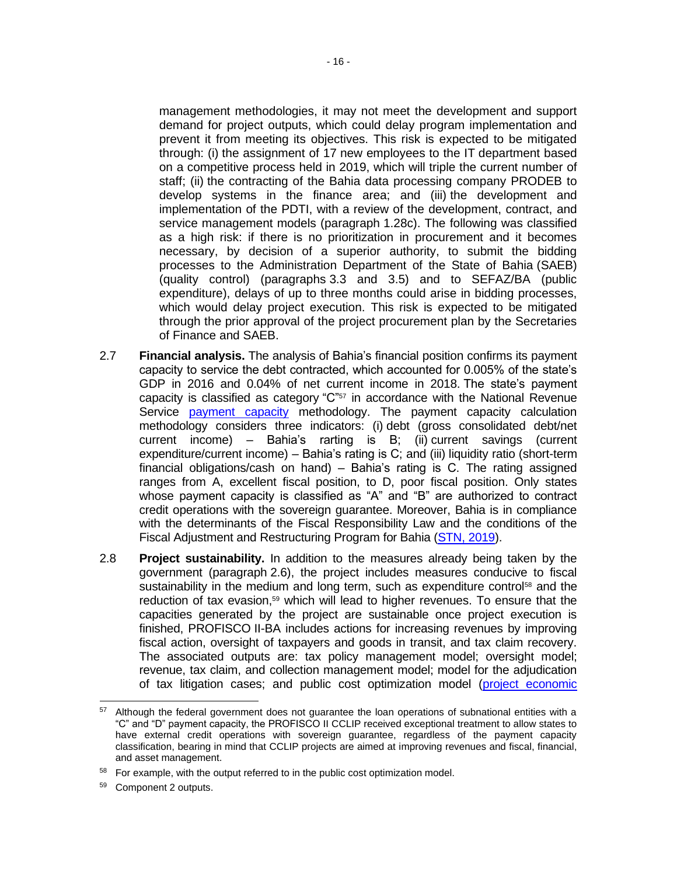management methodologies, it may not meet the development and support demand for project outputs, which could delay program implementation and prevent it from meeting its objectives. This risk is expected to be mitigated through: (i) the assignment of 17 new employees to the IT department based on a competitive process held in 2019, which will triple the current number of staff; (ii) the contracting of the Bahia data processing company PRODEB to develop systems in the finance area; and (iii) the development and implementation of the PDTI, with a review of the development, contract, and service management models (paragraph 1.28c). The following was classified as a high risk: if there is no prioritization in procurement and it becomes necessary, by decision of a superior authority, to submit the bidding processes to the Administration Department of the State of Bahia (SAEB) (quality control) (paragraphs 3.3 and 3.5) and to SEFAZ/BA (public expenditure), delays of up to three months could arise in bidding processes, which would delay project execution. This risk is expected to be mitigated through the prior approval of the project procurement plan by the Secretaries of Finance and SAEB.

- 2.7 **Financial analysis.** The [analysis of B](https://idbg.sharepoint.com/teams/EZ-BR-LON/BR-L1517/15%20LifeCycle%20Milestones/BR-L1517.%20Analisis%20Condicion%20Financiera%20ES%20Post%20QRR.docx?d=w394224a5a7cc492e92aa52aa9333ecb8)ahia's financial position confirms its payment capacity to service the debt contracted, which accounted for 0.005% of the state's GDP in 2016 and 0.04% of net current income in 2018. The state's payment capacity is classified as category " $C<sup>757</sup>$  in accordance with the National Revenue Service [payment capacity](http://www.fazenda.gov.br/acesso-a-informacao/institucional/legislacao/portarias-ministeriais/2017/portaria-ndeg-501-de-24-de-novembro-de-2017) methodology. The payment capacity calculation methodology considers three indicators: (i) debt (gross consolidated debt/net current income) – Bahia's rarting is B; (ii) current savings (current expenditure/current income) – Bahia's rating is C; and (iii) liquidity ratio (short-term financial obligations/cash on hand) – Bahia's rating is C. The rating assigned ranges from A, excellent fiscal position, to D, poor fiscal position. Only states whose payment capacity is classified as "A" and "B" are authorized to contract credit operations with the sovereign guarantee. Moreover, Bahia is in compliance with the determinants of the Fiscal Responsibility Law and the conditions of the Fiscal Adjustment and Restructuring Program for Bahia [\(STN, 2019\)](https://www.tesourotransparente.gov.br/publicacoes/boletim-de-financas-dos-entes-subnacionais/2019/114-2).
- 2.8 **Project sustainability.** In addition to the measures already being taken by the government (paragraph 2.6), the project includes measures conducive to fiscal sustainability in the medium and long term, such as expenditure control<sup>58</sup> and the reduction of tax evasion,<sup>59</sup> which will lead to higher revenues. To ensure that the capacities generated by the project are sustainable once project execution is finished, PROFISCO II-BA includes actions for increasing revenues by improving fiscal action, oversight of taxpayers and goods in transit, and tax claim recovery. The associated outputs are: tax policy management model; oversight model; revenue, tax claim, and collection management model; model for the adjudication of tax litigation cases; and public cost optimization model [\(project economic](http://idbdocs.iadb.org/wsdocs/getDocument.aspx?DOCNUM=EZSHARE-1326839135-3)

<sup>&</sup>lt;sup>57</sup> Although the federal government does not guarantee the loan operations of subnational entities with a "C" and "D" payment capacity, the PROFISCO II CCLIP received exceptional treatment to allow states to have external credit operations with sovereign guarantee, regardless of the payment capacity classification, bearing in mind that CCLIP projects are aimed at improving revenues and fiscal, financial, and asset management.

<sup>&</sup>lt;sup>58</sup> For example, with the output referred to in the public cost optimization model.

<sup>59</sup> Component 2 outputs.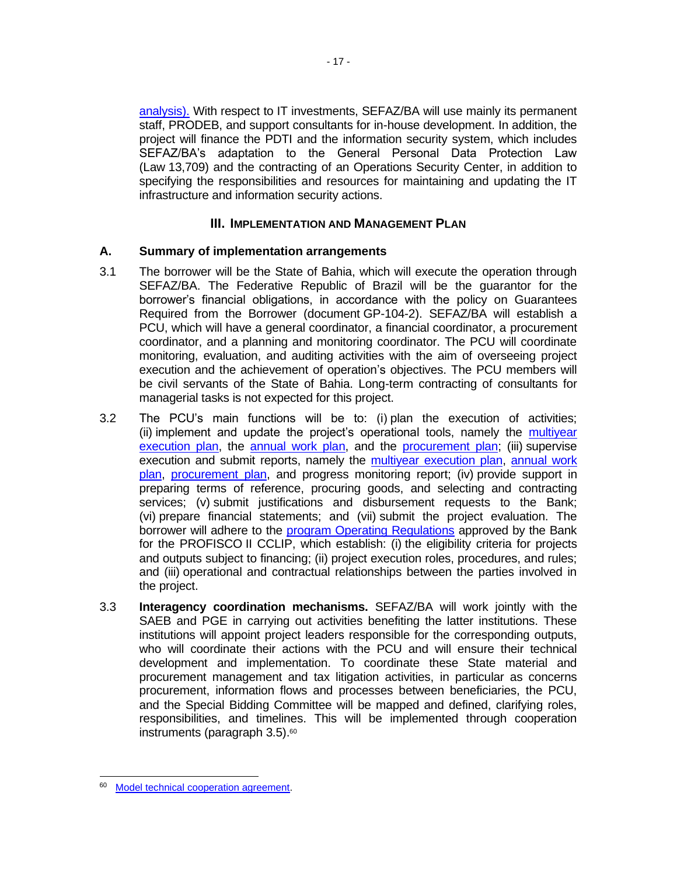[analysis\).](http://idbdocs.iadb.org/wsdocs/getDocument.aspx?DOCNUM=EZSHARE-1326839135-3) With respect to IT investments, SEFAZ/BA will use mainly its permanent staff, PRODEB, and support consultants for in-house development. In addition, the project will finance the PDTI and the information security system, which includes SEFAZ/BA's adaptation to the General Personal Data Protection Law (Law 13,709) and the contracting of an Operations Security Center, in addition to specifying the responsibilities and resources for maintaining and updating the IT infrastructure and information security actions.

### **III. IMPLEMENTATION AND MANAGEMENT PLAN**

#### **A. Summary of implementation arrangements**

- 3.1 The borrower will be the State of Bahia, which will execute the operation through SEFAZ/BA. The Federative Republic of Brazil will be the guarantor for the borrower's financial obligations, in accordance with the policy on Guarantees Required from the Borrower (document GP-104-2). SEFAZ/BA will establish a PCU, which will have a general coordinator, a financial coordinator, a procurement coordinator, and a planning and monitoring coordinator. The PCU will coordinate monitoring, evaluation, and auditing activities with the aim of overseeing project execution and the achievement of operation's objectives. The PCU members will be civil servants of the State of Bahia. Long-term contracting of consultants for managerial tasks is not expected for this project.
- 3.2 The PCU's main functions will be to: (i) plan the execution of activities; (ii) implement and update the project's operational tools, namely the [multiyear](http://idbdocs.iadb.org/wsdocs/getDocument.aspx?DOCNUM=EZSHARE-1326839135-5)  [execution plan,](http://idbdocs.iadb.org/wsdocs/getDocument.aspx?DOCNUM=EZSHARE-1326839135-5) the [annual work plan,](http://idbdocs.iadb.org/wsdocs/getDocument.aspx?DOCNUM=EZSHARE-1326839135-5) and the [procurement plan;](http://idbdocs.iadb.org/wsdocs/getDocument.aspx?DOCNUM=EZSHARE-1326839135-5) (iii) supervise execution and submit reports, namely the [multiyear execution plan, annual work](http://idbdocs.iadb.org/wsdocs/getDocument.aspx?DOCNUM=EZSHARE-1326839135-5)  [plan,](http://idbdocs.iadb.org/wsdocs/getDocument.aspx?DOCNUM=EZSHARE-1326839135-5) [procurement plan,](http://idbdocs.iadb.org/wsdocs/getDocument.aspx?DOCNUM=EZSHARE-1326839135-5) and progress monitoring report; (iv) provide support in preparing terms of reference, procuring goods, and selecting and contracting services; (v) submit justifications and disbursement requests to the Bank; (vi) prepare financial statements; and (vii) submit the project evaluation. The borrower will adhere to the [program Operating Regulations](http://idbdocs.iadb.org/wsdocs/getDocument.aspx?DOCNUM=EZSHARE-1869036552-7) approved by the Bank for the PROFISCO II CCLIP, which establish: (i) the eligibility criteria for projects and outputs subject to financing; (ii) project execution roles, procedures, and rules; and (iii) operational and contractual relationships between the parties involved in the project.
- 3.3 **Interagency coordination mechanisms.** SEFAZ/BA will work jointly with the SAEB and PGE in carrying out activities benefiting the latter institutions. These institutions will appoint project leaders responsible for the corresponding outputs, who will coordinate their actions with the PCU and will ensure their technical development and implementation. To coordinate these State material and procurement management and tax litigation activities, in particular as concerns procurement, information flows and processes between beneficiaries, the PCU, and the Special Bidding Committee will be mapped and defined, clarifying roles, responsibilities, and timelines. This will be implemented through cooperation instruments (paragraph 3.5).<sup>60</sup>

<sup>60</sup> [Model technical cooperation agreement.](http://idbdocs.iadb.org/wsdocs/getDocument.aspx?DOCNUM=EZSHARE-1326839135-48)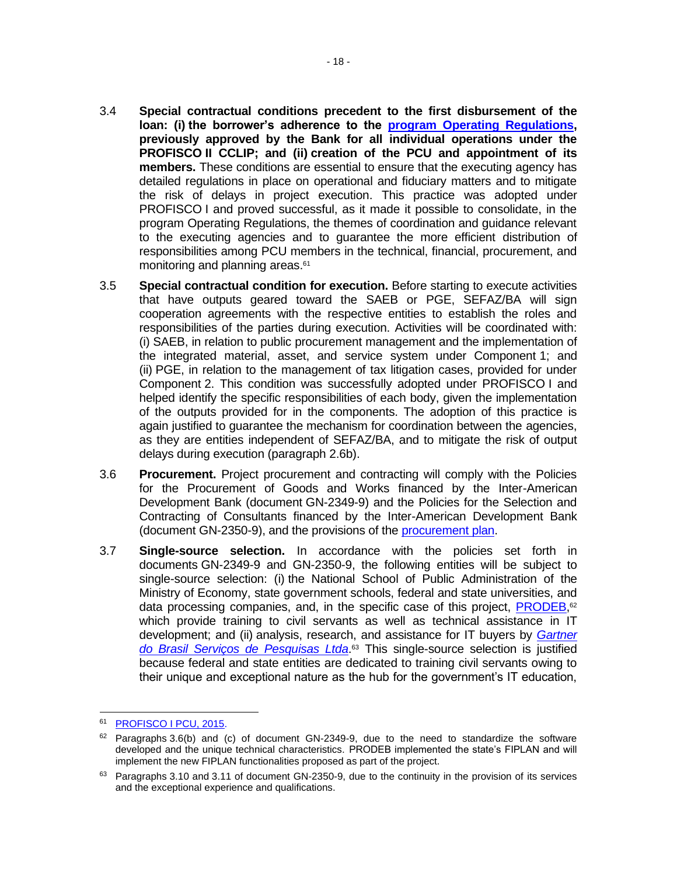- 3.4 **Special contractual conditions precedent to the first disbursement of the loan: (i) the borrower's adherence to the [program Operating Regulations,](http://idbdocs.iadb.org/wsdocs/getDocument.aspx?DOCNUM=EZSHARE-1869036552-7) previously approved by the Bank for all individual operations under the PROFISCO II CCLIP; and (ii) creation of the PCU and appointment of its members.** These conditions are essential to ensure that the executing agency has detailed regulations in place on operational and fiduciary matters and to mitigate the risk of delays in project execution. This practice was adopted under PROFISCO I and proved successful, as it made it possible to consolidate, in the program Operating Regulations, the themes of coordination and guidance relevant to the executing agencies and to guarantee the more efficient distribution of responsibilities among PCU members in the technical, financial, procurement, and monitoring and planning areas.<sup>61</sup>
- 3.5 **Special contractual condition for execution.** Before starting to execute activities that have outputs geared toward the SAEB or PGE, SEFAZ/BA will sign cooperation agreements with the respective entities to establish the roles and responsibilities of the parties during execution. Activities will be coordinated with: (i) SAEB, in relation to public procurement management and the implementation of the integrated material, asset, and service system under Component 1; and (ii) PGE, in relation to the management of tax litigation cases, provided for under Component 2. This condition was successfully adopted under PROFISCO I and helped identify the specific responsibilities of each body, given the implementation of the outputs provided for in the components. The adoption of this practice is again justified to guarantee the mechanism for coordination between the agencies, as they are entities independent of SEFAZ/BA, and to mitigate the risk of output delays during execution (paragraph 2.6b).
- 3.6 **Procurement.** Project procurement and contracting will comply with the Policies for the Procurement of Goods and Works financed by the Inter-American Development Bank (document GN-2349-9) and the Policies for the Selection and Contracting of Consultants financed by the Inter-American Development Bank (document GN-2350-9), and the provisions of the [procurement plan.](http://idbdocs.iadb.org/wsdocs/getDocument.aspx?DOCNUM=EZSHARE-1326839135-5)
- 3.7 **Single-source selection.** In accordance with the policies set forth in documents GN-2349-9 and GN-2350-9, the following entities will be subject to single-source selection: (i) the National School of Public Administration of the Ministry of Economy, state government schools, federal and state universities, and data processing companies, and, in the specific case of this project, **PRODEB**,<sup>62</sup> which provide training to civil servants as well as technical assistance in IT development; and (ii) analysis, research, and assistance for IT buyers by *[Gartner](https://www.gartner.com/en)  [do Brasil Serviços de Pesquisas Ltda](https://www.gartner.com/en)*. <sup>63</sup> This single-source selection is justified because federal and state entities are dedicated to training civil servants owing to their unique and exceptional nature as the hub for the government's IT education,

<sup>61</sup> PROFISCO [I PCU, 2015.](https://idbg.sharepoint.com/teams/EZ-BR-CON/BR-X1005/05%20Basic%20Data/Relatório%20Pesquisa%20UCPs%20PROFISCO_.pdf)

 $62$  Paragraphs 3.6(b) and (c) of document GN-2349-9, due to the need to standardize the software developed and the unique technical characteristics. PRODEB implemented the state's FIPLAN and will implement the new FIPLAN functionalities proposed as part of the project.

 $63$  Paragraphs 3.10 and 3.11 of document GN-2350-9, due to the continuity in the provision of its services and the exceptional experience and qualifications.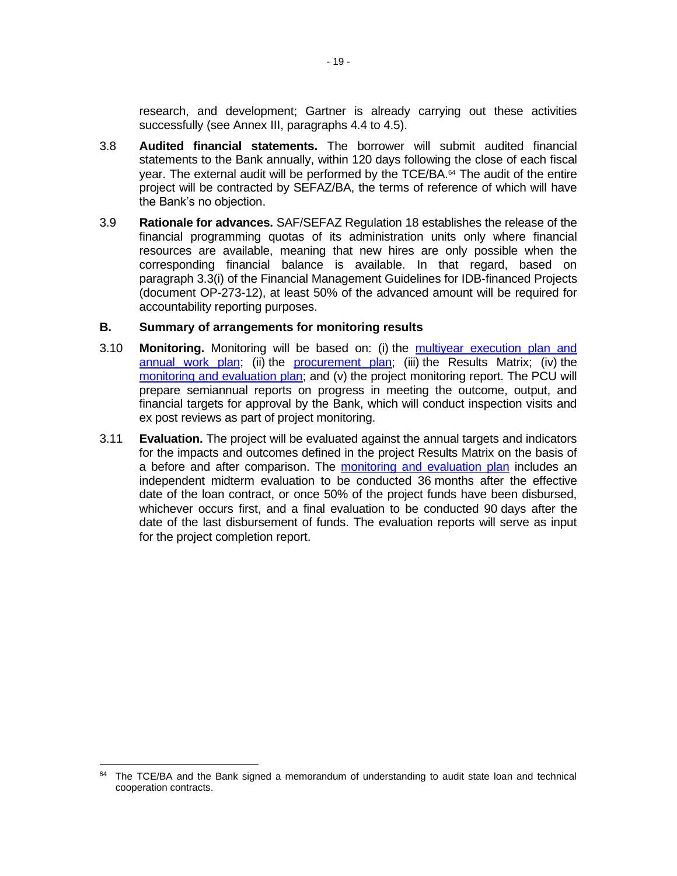research, and development; Gartner is already carrying out these activities successfully (see Annex III, paragraphs 4.4 to 4.5).

- 3.8 **Audited financial statements.** The borrower will submit audited financial statements to the Bank annually, within 120 days following the close of each fiscal year. The external audit will be performed by the TCE/BA.<sup>64</sup> The audit of the entire project will be contracted by SEFAZ/BA, the terms of reference of which will have the Bank's no objection.
- 3.9 **Rationale for advances.** SAF/SEFAZ Regulation 18 establishes the release of the financial programming quotas of its administration units only where financial resources are available, meaning that new hires are only possible when the corresponding financial balance is available. In that regard, based on paragraph 3.3(i) of the Financial Management Guidelines for IDB-financed Projects (document OP-273-12), at least 50% of the advanced amount will be required for accountability reporting purposes.

#### **B. Summary of arrangements for monitoring results**

- 3.10 **Monitoring.** Monitoring will be based on: (i) the [multiyear execution plan and](http://idbdocs.iadb.org/wsdocs/getDocument.aspx?DOCNUM=EZSHARE-1326839135-5)  [annual work plan;](http://idbdocs.iadb.org/wsdocs/getDocument.aspx?DOCNUM=EZSHARE-1326839135-5) (ii) the [procurement plan;](http://idbdocs.iadb.org/wsdocs/getDocument.aspx?DOCNUM=EZSHARE-1326839135-5) (iii) the Results Matrix; (iv) the [monitoring and evaluation plan;](http://idbdocs.iadb.org/wsdocs/getDocument.aspx?DOCNUM=EZSHARE-1326839135-6) and (v) the project monitoring report. The PCU will prepare semiannual reports on progress in meeting the outcome, output, and financial targets for approval by the Bank, which will conduct inspection visits and ex post reviews as part of project monitoring.
- 3.11 **Evaluation.** The project will be evaluated against the annual targets and indicators for the impacts and outcomes defined in the project Results Matrix on the basis of a before and after comparison. The [monitoring and evaluation plan](http://idbdocs.iadb.org/wsdocs/getDocument.aspx?DOCNUM=EZSHARE-1326839135-6) includes an independent midterm evaluation to be conducted 36 months after the effective date of the loan contract, or once 50% of the project funds have been disbursed, whichever occurs first, and a final evaluation to be conducted 90 days after the date of the last disbursement of funds. The evaluation reports will serve as input for the project completion report.

<sup>&</sup>lt;sup>64</sup> The TCE/BA and the Bank signed a memorandum of understanding to audit state loan and technical cooperation contracts.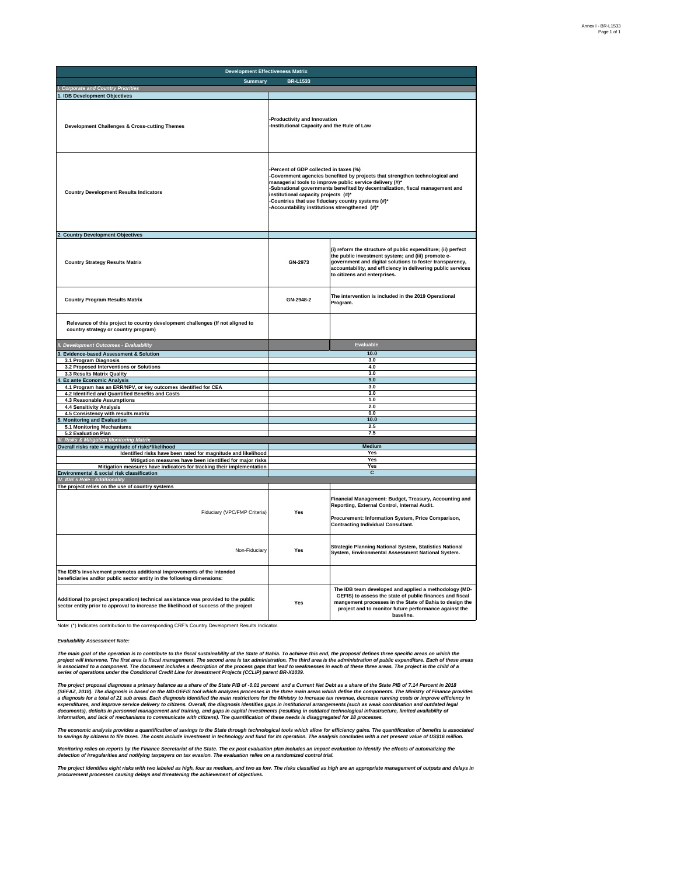| <b>Development Effectiveness Matrix</b>                                                                                                                                     |                                                                                                                                                                                                                                                                                                                                                                                                                  |                                                                                                                                                                                                                                                                                |  |  |  |  |
|-----------------------------------------------------------------------------------------------------------------------------------------------------------------------------|------------------------------------------------------------------------------------------------------------------------------------------------------------------------------------------------------------------------------------------------------------------------------------------------------------------------------------------------------------------------------------------------------------------|--------------------------------------------------------------------------------------------------------------------------------------------------------------------------------------------------------------------------------------------------------------------------------|--|--|--|--|
| <b>Summary</b>                                                                                                                                                              | <b>BR-L1533</b>                                                                                                                                                                                                                                                                                                                                                                                                  |                                                                                                                                                                                                                                                                                |  |  |  |  |
| <b>Corporate and Country Priorities</b>                                                                                                                                     |                                                                                                                                                                                                                                                                                                                                                                                                                  |                                                                                                                                                                                                                                                                                |  |  |  |  |
| 1. IDB Development Objectives                                                                                                                                               |                                                                                                                                                                                                                                                                                                                                                                                                                  |                                                                                                                                                                                                                                                                                |  |  |  |  |
| <b>Development Challenges &amp; Cross-cutting Themes</b>                                                                                                                    | Productivity and Innovation<br>-Institutional Capacity and the Rule of Law                                                                                                                                                                                                                                                                                                                                       |                                                                                                                                                                                                                                                                                |  |  |  |  |
| <b>Country Development Results Indicators</b>                                                                                                                               | Percent of GDP collected in taxes (%)<br>-Government agencies benefited by projects that strengthen technological and<br>managerial tools to improve public service delivery (#)*<br>-Subnational governments benefited by decentralization, fiscal management and<br>institutional capacity projects (#)*<br>Countries that use fiduciary country systems (#)*<br>Accountability institutions strengthened (#)* |                                                                                                                                                                                                                                                                                |  |  |  |  |
| 2. Country Development Objectives                                                                                                                                           |                                                                                                                                                                                                                                                                                                                                                                                                                  |                                                                                                                                                                                                                                                                                |  |  |  |  |
| <b>Country Strategy Results Matrix</b>                                                                                                                                      | GN-2973                                                                                                                                                                                                                                                                                                                                                                                                          | (i) reform the structure of public expenditure; (ii) perfect<br>the public investment system; and (iii) promote e-<br>government and digital solutions to foster transparency,<br>accountability, and efficiency in delivering public services<br>to citizens and enterprises. |  |  |  |  |
| <b>Country Program Results Matrix</b>                                                                                                                                       | GN-2948-2                                                                                                                                                                                                                                                                                                                                                                                                        | The intervention is included in the 2019 Operational<br>Program.                                                                                                                                                                                                               |  |  |  |  |
| Relevance of this project to country development challenges (If not aligned to<br>country strategy or country program)                                                      |                                                                                                                                                                                                                                                                                                                                                                                                                  |                                                                                                                                                                                                                                                                                |  |  |  |  |
| II. Development Outcomes - Evaluability                                                                                                                                     |                                                                                                                                                                                                                                                                                                                                                                                                                  | <b>Evaluable</b>                                                                                                                                                                                                                                                               |  |  |  |  |
| <b>Evidence-based Assessment &amp; Solution</b>                                                                                                                             |                                                                                                                                                                                                                                                                                                                                                                                                                  | 10.0                                                                                                                                                                                                                                                                           |  |  |  |  |
| 3.1 Program Diagnosis                                                                                                                                                       |                                                                                                                                                                                                                                                                                                                                                                                                                  | 3.0                                                                                                                                                                                                                                                                            |  |  |  |  |
| 3.2 Proposed Interventions or Solutions                                                                                                                                     |                                                                                                                                                                                                                                                                                                                                                                                                                  | 4.0<br>3.0                                                                                                                                                                                                                                                                     |  |  |  |  |
| 3.3 Results Matrix Quality<br><b>Ex ante Economic Analysis</b>                                                                                                              |                                                                                                                                                                                                                                                                                                                                                                                                                  | 9.0                                                                                                                                                                                                                                                                            |  |  |  |  |
| 4.1 Program has an ERR/NPV, or key outcomes identified for CEA                                                                                                              |                                                                                                                                                                                                                                                                                                                                                                                                                  | 3.0                                                                                                                                                                                                                                                                            |  |  |  |  |
| 4.2 Identified and Quantified Benefits and Costs                                                                                                                            |                                                                                                                                                                                                                                                                                                                                                                                                                  | 3.0                                                                                                                                                                                                                                                                            |  |  |  |  |
| 4.3 Reasonable Assumptions                                                                                                                                                  |                                                                                                                                                                                                                                                                                                                                                                                                                  | 1.0                                                                                                                                                                                                                                                                            |  |  |  |  |
| <b>4.4 Sensitivity Analysis</b>                                                                                                                                             |                                                                                                                                                                                                                                                                                                                                                                                                                  | 2.0                                                                                                                                                                                                                                                                            |  |  |  |  |
| 4.5 Consistency with results matrix                                                                                                                                         |                                                                                                                                                                                                                                                                                                                                                                                                                  | 0.0                                                                                                                                                                                                                                                                            |  |  |  |  |
| <b>Monitoring and Evaluation</b>                                                                                                                                            |                                                                                                                                                                                                                                                                                                                                                                                                                  | 10.0<br>2.5                                                                                                                                                                                                                                                                    |  |  |  |  |
| 5.1 Monitoring Mechanisms<br>5.2 Evaluation Plan                                                                                                                            |                                                                                                                                                                                                                                                                                                                                                                                                                  | 7.5                                                                                                                                                                                                                                                                            |  |  |  |  |
| <b>Risks &amp; Mitigation</b><br>nitoring Matrix                                                                                                                            |                                                                                                                                                                                                                                                                                                                                                                                                                  |                                                                                                                                                                                                                                                                                |  |  |  |  |
| Overall risks rate = magnitude of risks*likelihood                                                                                                                          |                                                                                                                                                                                                                                                                                                                                                                                                                  | Medium                                                                                                                                                                                                                                                                         |  |  |  |  |
| Identified risks have been rated for magnitude and likelihood                                                                                                               |                                                                                                                                                                                                                                                                                                                                                                                                                  | Yes                                                                                                                                                                                                                                                                            |  |  |  |  |
| Mitigation measures have been identified for major risks                                                                                                                    |                                                                                                                                                                                                                                                                                                                                                                                                                  | Yes                                                                                                                                                                                                                                                                            |  |  |  |  |
| Mitigation measures have indicators for tracking their implementation<br>Environmental & social risk classification                                                         |                                                                                                                                                                                                                                                                                                                                                                                                                  | Yes<br>c                                                                                                                                                                                                                                                                       |  |  |  |  |
| IV. IDB´s Role - Additionality                                                                                                                                              |                                                                                                                                                                                                                                                                                                                                                                                                                  |                                                                                                                                                                                                                                                                                |  |  |  |  |
| The project relies on the use of country systems                                                                                                                            |                                                                                                                                                                                                                                                                                                                                                                                                                  |                                                                                                                                                                                                                                                                                |  |  |  |  |
| Fiduciary (VPC/FMP Criteria)                                                                                                                                                | Yes                                                                                                                                                                                                                                                                                                                                                                                                              | Financial Management: Budget, Treasury, Accounting and<br>Reporting, External Control, Internal Audit.<br>Procurement: Information System, Price Comparison,<br><b>Contracting Individual Consultant.</b>                                                                      |  |  |  |  |
| Non-Fiduciary                                                                                                                                                               | Yes                                                                                                                                                                                                                                                                                                                                                                                                              | Strategic Planning National System, Statistics National<br>System, Environmental Assessment National System.                                                                                                                                                                   |  |  |  |  |
| The IDB's involvement promotes additional improvements of the intended<br>beneficiaries and/or public sector entity in the following dimensions:                            |                                                                                                                                                                                                                                                                                                                                                                                                                  |                                                                                                                                                                                                                                                                                |  |  |  |  |
| Additional (to project preparation) technical assistance was provided to the public<br>sector entity prior to approval to increase the likelihood of success of the project | Yes                                                                                                                                                                                                                                                                                                                                                                                                              | The IDB team developed and applied a methodology (MD-<br>GEFIS) to assess the state of public finances and fiscal<br>mangement processes in the State of Bahia to design the<br>project and to monitor future performance against the<br>baseline.                             |  |  |  |  |

Note: (\*) Indicates contribution to the corresponding CRF's Country Development Results Indicator.

*Evaluability Assessment Note:* 

The main goal of the operation is to contribute to the fiscal sustainability of the State of Bahia. To achieve this end, the proposal defines three specific areas on which the<br>is associated to a component. The document inc

The project proposal diagnoses a primary balance as a share of the State PIB of -0.01 percent and a Current Net Debt as a share of the State PIB of 7.14 Percent in 2018<br>(SEFAZ, 2018). The diagnosis is based on the MD-GEFS

The economic analysis provides a quantification of saids the State through technological tools which allow for efficiency pains. The quantification of benefits is associated to a state in the prosent value of US\$16 million

Monitoring relies on reports by the Finance Secretariat of the State. The ex post evaluation plan includes an impact evaluation to identify the effects of automatizing the<br>detection of irregularities and notifying taxpayer

The project identifies eight risks with two labeled as high, four as medium, and two as low. The risks classified as high are an appropriate management of outputs and delays in<br>procurement processes causing delays and thre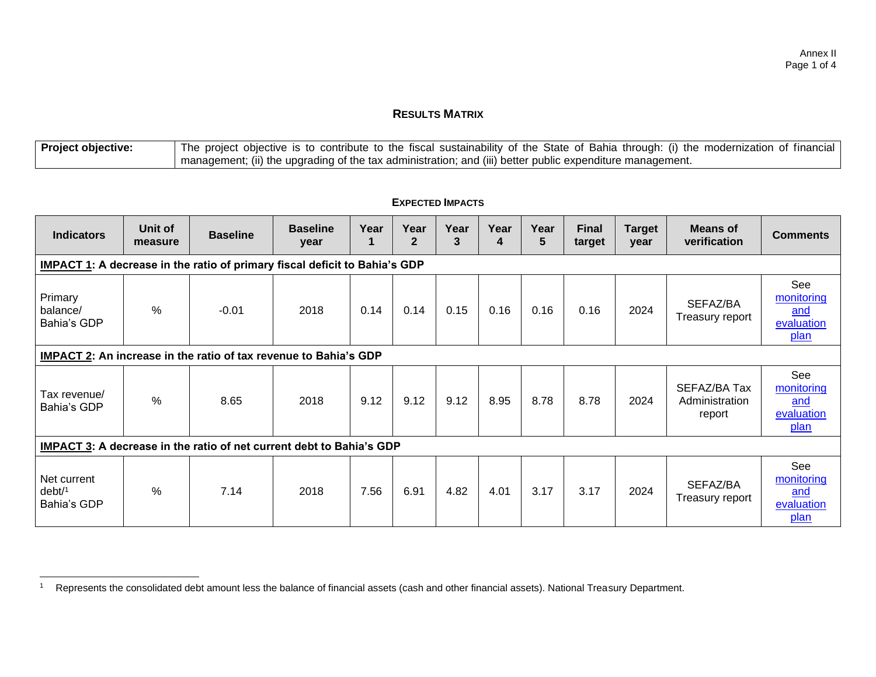## **RESULTS MATRIX**

| <b>Project objective:</b> | <sup>1</sup> The project objective is to contribute to the fiscal sustainability of the State of Bahia through: (i) the modernization of financial |
|---------------------------|----------------------------------------------------------------------------------------------------------------------------------------------------|
|                           | I management; (ii) the upgrading of the tax administration; and (iii) better public expenditure management.                                        |

| <b>Indicators</b>                                                    | Unit of<br>measure                                                         | <b>Baseline</b> | <b>Baseline</b><br>year | Year | Year<br>$\overline{2}$ | Year<br>3 | Year<br>4 | Year<br>5 | <b>Final</b><br>target | <b>Target</b><br>year | <b>Means of</b><br>verification          | <b>Comments</b>                                       |
|----------------------------------------------------------------------|----------------------------------------------------------------------------|-----------------|-------------------------|------|------------------------|-----------|-----------|-----------|------------------------|-----------------------|------------------------------------------|-------------------------------------------------------|
|                                                                      | IMPACT 1: A decrease in the ratio of primary fiscal deficit to Bahia's GDP |                 |                         |      |                        |           |           |           |                        |                       |                                          |                                                       |
| Primary<br>balance/<br>Bahia's GDP                                   | %                                                                          | $-0.01$         | 2018                    | 0.14 | 0.14                   | 0.15      | 0.16      | 0.16      | 0.16                   | 2024                  | SEFAZ/BA<br>Treasury report              | See<br>monitoring<br>and<br>evaluation<br>plan        |
| IMPACT 2: An increase in the ratio of tax revenue to Bahia's GDP     |                                                                            |                 |                         |      |                        |           |           |           |                        |                       |                                          |                                                       |
| Tax revenue/<br>Bahia's GDP                                          | $\frac{0}{0}$                                                              | 8.65            | 2018                    | 9.12 | 9.12                   | 9.12      | 8.95      | 8.78      | 8.78                   | 2024                  | SEFAZ/BA Tax<br>Administration<br>report | See<br>monitoring<br>and<br>evaluation<br>plan        |
| IMPACT 3: A decrease in the ratio of net current debt to Bahia's GDP |                                                                            |                 |                         |      |                        |           |           |           |                        |                       |                                          |                                                       |
| Net current<br>debt/1<br>Bahia's GDP                                 | $\frac{0}{0}$                                                              | 7.14            | 2018                    | 7.56 | 6.91                   | 4.82      | 4.01      | 3.17      | 3.17                   | 2024                  | SEFAZ/BA<br>Treasury report              | See<br>monitoring<br>and<br>evaluation<br><u>plan</u> |

#### **EXPECTED IMPACTS**

<sup>1</sup> Represents the consolidated debt amount less the balance of financial assets (cash and other financial assets). National Treasury Department.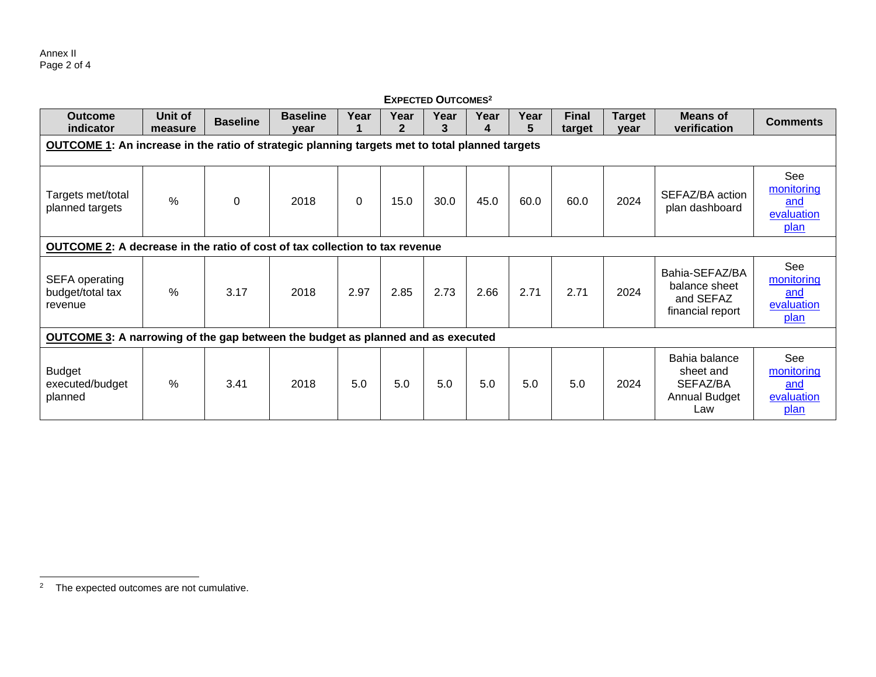| <b>Outcome</b><br>indicator                                                     | Unit of<br>measure                                                                                    | <b>Baseline</b> | <b>Baseline</b><br>year | Year     | Year<br>$\mathbf{2}$ | Year<br>3 | Year<br>4 | Year<br>5 | <b>Final</b><br>target | <b>Target</b><br>year | <b>Means of</b><br>verification                                  | <b>Comments</b>                                              |
|---------------------------------------------------------------------------------|-------------------------------------------------------------------------------------------------------|-----------------|-------------------------|----------|----------------------|-----------|-----------|-----------|------------------------|-----------------------|------------------------------------------------------------------|--------------------------------------------------------------|
|                                                                                 | <b>OUTCOME 1:</b> An increase in the ratio of strategic planning targets met to total planned targets |                 |                         |          |                      |           |           |           |                        |                       |                                                                  |                                                              |
| Targets met/total<br>planned targets                                            | $\frac{0}{0}$                                                                                         | 0               | 2018                    | $\Omega$ | 15.0                 | 30.0      | 45.0      | 60.0      | 60.0                   | 2024                  | SEFAZ/BA action<br>plan dashboard                                | See<br>monitoring<br>and<br>evaluation<br>plan               |
| OUTCOME 2: A decrease in the ratio of cost of tax collection to tax revenue     |                                                                                                       |                 |                         |          |                      |           |           |           |                        |                       |                                                                  |                                                              |
| <b>SEFA</b> operating<br>budget/total tax<br>revenue                            | %                                                                                                     | 3.17            | 2018                    | 2.97     | 2.85                 | 2.73      | 2.66      | 2.71      | 2.71                   | 2024                  | Bahia-SEFAZ/BA<br>balance sheet<br>and SEFAZ<br>financial report | See<br>monitoring<br>and<br>evaluation<br><u>plan</u>        |
| OUTCOME 3: A narrowing of the gap between the budget as planned and as executed |                                                                                                       |                 |                         |          |                      |           |           |           |                        |                       |                                                                  |                                                              |
| <b>Budget</b><br>executed/budget<br>planned                                     | %                                                                                                     | 3.41            | 2018                    | 5.0      | 5.0                  | 5.0       | 5.0       | 5.0       | 5.0                    | 2024                  | Bahia balance<br>sheet and<br>SEFAZ/BA<br>Annual Budget<br>Law   | <b>See</b><br>monitoring<br>and<br>evaluation<br><u>plan</u> |

#### **EXPECTED OUTCOMES<sup>2</sup>**

<sup>2</sup> The expected outcomes are not cumulative.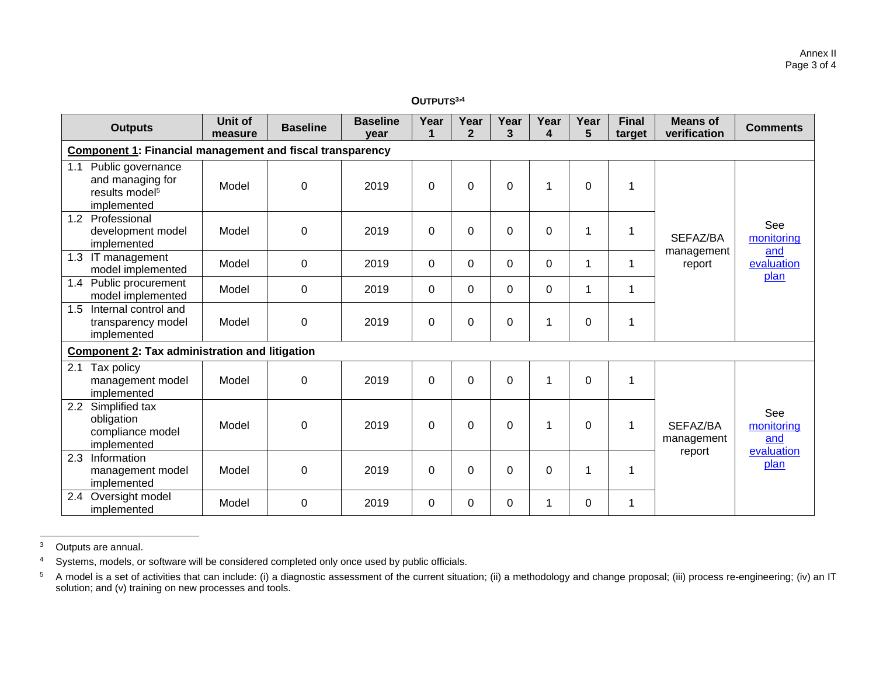#### **OUTPUTS3,<sup>4</sup>**

| <b>Outputs</b>                                                                            | <b>Unit of</b><br>measure                                        | <b>Baseline</b> | <b>Baseline</b><br>year | Year<br>1   | Year<br>$\mathbf{2}$ | Year<br>3        | Year<br>4   | Year<br>5   | <b>Final</b><br>target | <b>Means of</b><br>verification | <b>Comments</b>           |
|-------------------------------------------------------------------------------------------|------------------------------------------------------------------|-----------------|-------------------------|-------------|----------------------|------------------|-------------|-------------|------------------------|---------------------------------|---------------------------|
|                                                                                           | <b>Component 1: Financial management and fiscal transparency</b> |                 |                         |             |                      |                  |             |             |                        |                                 |                           |
| 1.1<br>Public governance<br>and managing for<br>results model <sup>5</sup><br>implemented | Model                                                            | 0               | 2019                    | $\mathbf 0$ | 0                    | $\boldsymbol{0}$ | 1           | $\mathbf 0$ | 1                      |                                 |                           |
| Professional<br>1.2<br>development model<br>implemented                                   | Model                                                            | 0               | 2019                    | 0           | 0                    | 0                | 0           | 1           | 1                      | SEFAZ/BA                        | See<br>monitoring         |
| 1.3<br>IT management<br>model implemented                                                 | Model                                                            | 0               | 2019                    | $\Omega$    | $\Omega$             | 0                | $\mathbf 0$ | 1           | 1                      | management<br>report            | and<br>evaluation<br>plan |
| 1.4 Public procurement<br>model implemented                                               | Model                                                            | 0               | 2019                    | $\Omega$    | $\Omega$             | $\Omega$         | 0           | 1           | 1                      |                                 |                           |
| Internal control and<br>1.5<br>transparency model<br>implemented                          | Model                                                            | 0               | 2019                    | 0           | 0                    | 0                | 1           | 0           | 1                      |                                 |                           |
| <b>Component 2: Tax administration and litigation</b>                                     |                                                                  |                 |                         |             |                      |                  |             |             |                        |                                 |                           |
| 2.1<br>Tax policy<br>management model<br>implemented                                      | Model                                                            | 0               | 2019                    | 0           | $\overline{0}$       | 0                | 1           | $\Omega$    | 1                      |                                 |                           |
| Simplified tax<br>2.2<br>obligation<br>compliance model<br>implemented                    | Model                                                            | $\mathbf 0$     | 2019                    | $\mathbf 0$ | $\overline{0}$       | $\mathbf 0$      | 1           | $\mathbf 0$ | $\mathbf{1}$           | SEFAZ/BA<br>management          | See<br>monitoring<br>and  |
| 2.3<br>Information<br>management model<br>implemented                                     | Model                                                            | 0               | 2019                    | $\Omega$    | 0                    | $\Omega$         | 0           | 1           | 1                      | report                          | evaluation<br>plan        |
| Oversight model<br>2.4<br>implemented                                                     | Model                                                            | 0               | 2019                    | $\Omega$    | 0                    | 0                | 1           | $\Omega$    | 1                      |                                 |                           |

<sup>3</sup> Outputs are annual.

<sup>4</sup> Systems, models, or software will be considered completed only once used by public officials.

<sup>5</sup> A model is a set of activities that can include: (i) a diagnostic assessment of the current situation; (ii) a methodology and change proposal; (iii) process re-engineering; (iv) an IT solution; and (v) training on new processes and tools.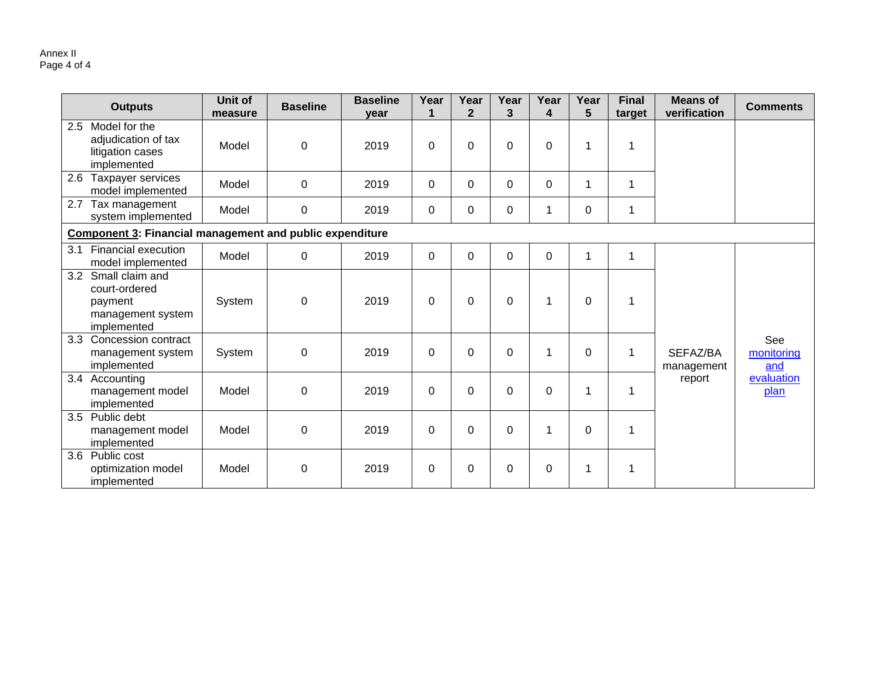|     | <b>Outputs</b>                                                                  | Unit of<br>measure | <b>Baseline</b> | <b>Baseline</b><br>year | Year        | Year<br>$\overline{2}$ | Year<br>3   | Year<br>4   | Year<br>5        | <b>Final</b><br>target | <b>Means of</b><br>verification | <b>Comments</b>          |
|-----|---------------------------------------------------------------------------------|--------------------|-----------------|-------------------------|-------------|------------------------|-------------|-------------|------------------|------------------------|---------------------------------|--------------------------|
| 2.5 | Model for the<br>adjudication of tax<br>litigation cases<br>implemented         | Model              | 0               | 2019                    | 0           | $\Omega$               | $\mathbf 0$ | $\mathbf 0$ | 1                | 1                      |                                 |                          |
| 2.6 | Taxpayer services<br>model implemented                                          | Model              | 0               | 2019                    | $\Omega$    | $\Omega$               | $\Omega$    | $\mathbf 0$ | 1                | 1                      |                                 |                          |
| 2.7 | Tax management<br>system implemented                                            | Model              | 0               | 2019                    | $\Omega$    | 0                      | $\mathbf 0$ | 1           | $\boldsymbol{0}$ | 1                      |                                 |                          |
|     | <b>Component 3: Financial management and public expenditure</b>                 |                    |                 |                         |             |                        |             |             |                  |                        |                                 |                          |
| 3.1 | <b>Financial execution</b><br>model implemented                                 | Model              | 0               | 2019                    | $\mathbf 0$ | $\mathbf 0$            | $\mathbf 0$ | $\pmb{0}$   | 1                | $\mathbf{1}$           |                                 |                          |
| 3.2 | Small claim and<br>court-ordered<br>payment<br>management system<br>implemented | System             | 0               | 2019                    | 0           | 0                      | $\mathbf 0$ | 1           | 0                | 1                      |                                 |                          |
| 3.3 | Concession contract<br>management system<br>implemented                         | System             | 0               | 2019                    | $\Omega$    | $\Omega$               | $\Omega$    | 1           | $\Omega$         | 1                      | SEFAZ/BA<br>management          | See<br>monitoring<br>and |
| 3.4 | Accounting<br>management model<br>implemented                                   | Model              | 0               | 2019                    | $\Omega$    | 0                      | $\mathbf 0$ | $\mathbf 0$ | 1                | 1                      | report                          | evaluation<br>plan       |
| 3.5 | Public debt<br>management model<br>implemented                                  | Model              | 0               | 2019                    | 0           | $\Omega$               | $\mathbf 0$ | 1           | $\mathbf 0$      | 1                      |                                 |                          |
| 3.6 | Public cost<br>optimization model<br>implemented                                | Model              | 0               | 2019                    | 0           | 0                      | $\mathbf 0$ | $\pmb{0}$   | 1                | 1                      |                                 |                          |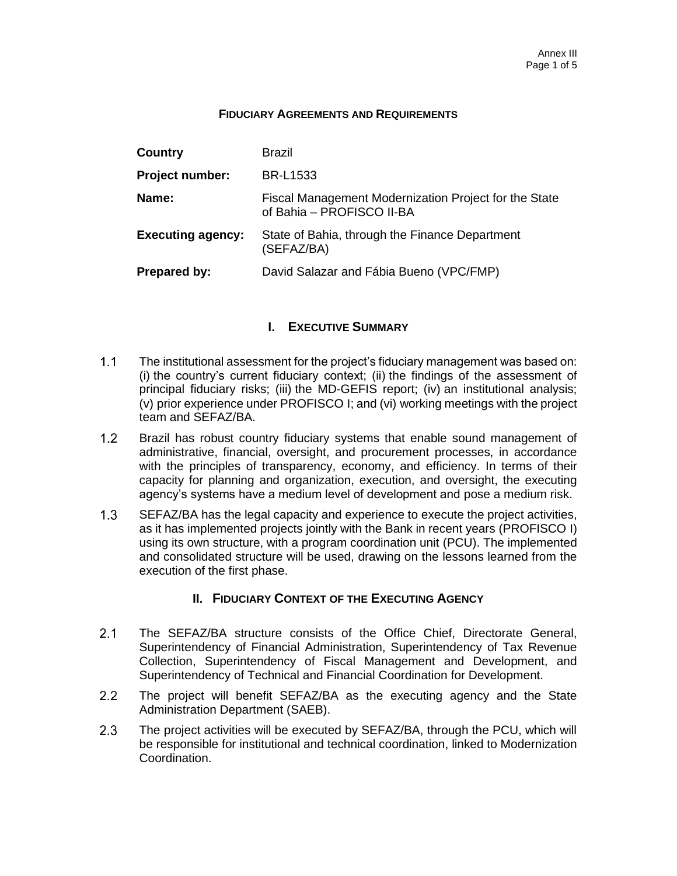#### **FIDUCIARY AGREEMENTS AND REQUIREMENTS**

| Country                  | Brazil                                                                             |
|--------------------------|------------------------------------------------------------------------------------|
| <b>Project number:</b>   | <b>BR-L1533</b>                                                                    |
| Name:                    | Fiscal Management Modernization Project for the State<br>of Bahia - PROFISCO II-BA |
| <b>Executing agency:</b> | State of Bahia, through the Finance Department<br>(SEFAZ/BA)                       |
| <b>Prepared by:</b>      | David Salazar and Fábia Bueno (VPC/FMP)                                            |

## **I. EXECUTIVE SUMMARY**

- $1.1$ The institutional assessment for the project's fiduciary management was based on: (i) the country's current fiduciary context; (ii) the findings of the assessment of principal fiduciary risks; (iii) the MD-GEFIS report; (iv) an institutional analysis; (v) prior experience under PROFISCO I; and (vi) working meetings with the project team and SEFAZ/BA.
- $1.2<sub>2</sub>$ Brazil has robust country fiduciary systems that enable sound management of administrative, financial, oversight, and procurement processes, in accordance with the principles of transparency, economy, and efficiency. In terms of their capacity for planning and organization, execution, and oversight, the executing agency's systems have a medium level of development and pose a medium risk.
- $1.3$ SEFAZ/BA has the legal capacity and experience to execute the project activities, as it has implemented projects jointly with the Bank in recent years (PROFISCO I) using its own structure, with a program coordination unit (PCU). The implemented and consolidated structure will be used, drawing on the lessons learned from the execution of the first phase.

## **II. FIDUCIARY CONTEXT OF THE EXECUTING AGENCY**

- $2.1$ The SEFAZ/BA structure consists of the Office Chief, Directorate General, Superintendency of Financial Administration, Superintendency of Tax Revenue Collection, Superintendency of Fiscal Management and Development, and Superintendency of Technical and Financial Coordination for Development.
- $2.2$ The project will benefit SEFAZ/BA as the executing agency and the State Administration Department (SAEB).
- $2.3$ The project activities will be executed by SEFAZ/BA, through the PCU, which will be responsible for institutional and technical coordination, linked to Modernization Coordination.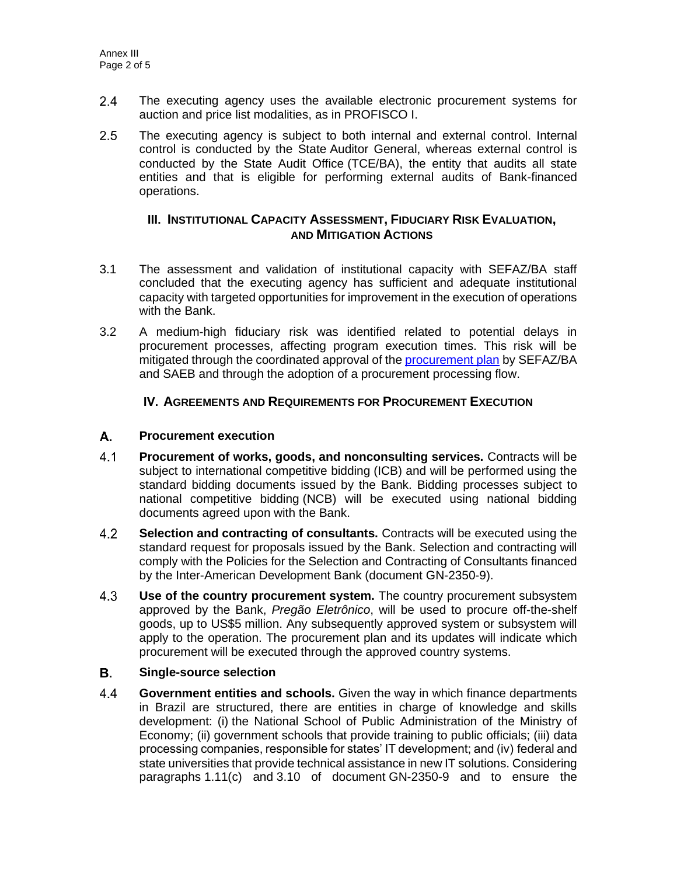- $2.4$ The executing agency uses the available electronic procurement systems for auction and price list modalities, as in PROFISCO I.
- $2.5$ The executing agency is subject to both internal and external control. Internal control is conducted by the State Auditor General, whereas external control is conducted by the State Audit Office (TCE/BA), the entity that audits all state entities and that is eligible for performing external audits of Bank-financed operations.

## **III. INSTITUTIONAL CAPACITY ASSESSMENT, FIDUCIARY RISK EVALUATION, AND MITIGATION ACTIONS**

- 3.1 The assessment and validation of institutional capacity with SEFAZ/BA staff concluded that the executing agency has sufficient and adequate institutional capacity with targeted opportunities for improvement in the execution of operations with the Bank.
- 3.2 A medium-high fiduciary risk was identified related to potential delays in procurement processes, affecting program execution times. This risk will be mitigated through the coordinated approval of the [procurement plan](http://idbdocs.iadb.org/wsdocs/getDocument.aspx?DOCNUM=EZSHARE-1326839135-5) by SEFAZ/BA and SAEB and through the adoption of a procurement processing flow.

## **IV. AGREEMENTS AND REQUIREMENTS FOR PROCUREMENT EXECUTION**

#### А. **Procurement execution**

- $4.1$ **Procurement of works, goods, and nonconsulting services.** Contracts will be subject to international competitive bidding (ICB) and will be performed using the standard bidding documents issued by the Bank. Bidding processes subject to national competitive bidding (NCB) will be executed using national bidding documents agreed upon with the Bank.
- $4.2$ **Selection and contracting of consultants.** Contracts will be executed using the standard request for proposals issued by the Bank. Selection and contracting will comply with the Policies for the Selection and Contracting of Consultants financed by the Inter-American Development Bank (document GN-2350-9).
- $4.3$ **Use of the country procurement system.** The country procurement subsystem approved by the Bank, *Pregão Eletrônico*, will be used to procure off-the-shelf goods, up to US\$5 million. Any subsequently approved system or subsystem will apply to the operation. The procurement plan and its updates will indicate which procurement will be executed through the approved country systems.

#### В. **Single-source selection**

 $4.4$ **Government entities and schools.** Given the way in which finance departments in Brazil are structured, there are entities in charge of knowledge and skills development: (i) the National School of Public Administration of the Ministry of Economy; (ii) government schools that provide training to public officials; (iii) data processing companies, responsible for states' IT development; and (iv) federal and state universities that provide technical assistance in new IT solutions. Considering paragraphs 1.11(c) and 3.10 of document GN-2350-9 and to ensure the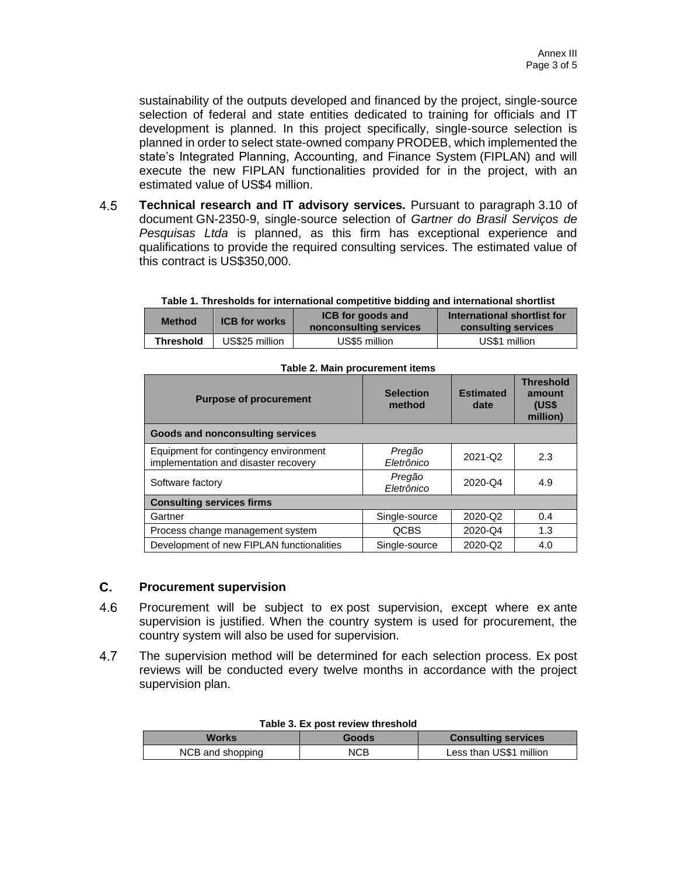sustainability of the outputs developed and financed by the project, single-source selection of federal and state entities dedicated to training for officials and IT development is planned. In this project specifically, single-source selection is planned in order to select state-owned company PRODEB, which implemented the state's Integrated Planning, Accounting, and Finance System (FIPLAN) and will execute the new FIPLAN functionalities provided for in the project, with an estimated value of US\$4 million.

4.5 **Technical research and IT advisory services.** Pursuant to paragraph 3.10 of document GN-2350-9, single-source selection of *Gartner do Brasil Serviços de Pesquisas Ltda* is planned, as this firm has exceptional experience and qualifications to provide the required consulting services. The estimated value of this contract is US\$350,000.

**Table 1. Thresholds for international competitive bidding and international shortlist**

| <b>Method</b>    | <b>ICB</b> for works | <b>ICB</b> for goods and<br>nonconsulting services | International shortlist for<br>consulting services |
|------------------|----------------------|----------------------------------------------------|----------------------------------------------------|
| <b>Threshold</b> | US\$25 million       | US\$5 million                                      | US\$1 million                                      |

| <b>Purpose of procurement</b>                                                 | <b>Selection</b><br>method | <b>Estimated</b><br>date | <b>Threshold</b><br>amount<br>(US\$<br>million) |  |  |  |
|-------------------------------------------------------------------------------|----------------------------|--------------------------|-------------------------------------------------|--|--|--|
| <b>Goods and nonconsulting services</b>                                       |                            |                          |                                                 |  |  |  |
| Equipment for contingency environment<br>implementation and disaster recovery | Pregão<br>Eletrônico       | 2021-Q2                  | 2.3                                             |  |  |  |
| Software factory                                                              | Pregão<br>Eletrônico       | 2020-Q4                  | 4.9                                             |  |  |  |
| <b>Consulting services firms</b>                                              |                            |                          |                                                 |  |  |  |
| Gartner                                                                       | Single-source              | 2020-Q2                  | 0.4                                             |  |  |  |
| Process change management system                                              | <b>QCBS</b>                | 2020-Q4                  | 1.3                                             |  |  |  |
| Development of new FIPLAN functionalities                                     | Single-source              | 2020-Q2                  | 4.0                                             |  |  |  |

#### **Table 2. Main procurement items**

#### C. **Procurement supervision**

- 4.6 Procurement will be subject to ex post supervision, except where ex ante supervision is justified. When the country system is used for procurement, the country system will also be used for supervision.
- 4.7 The supervision method will be determined for each selection process. Ex post reviews will be conducted every twelve months in accordance with the project supervision plan.

| <b>TADIC J. LA DUST IGVIGW MITGSHORE</b> |                                     |                         |  |  |  |  |
|------------------------------------------|-------------------------------------|-------------------------|--|--|--|--|
| Works                                    | <b>Consulting services</b><br>Goods |                         |  |  |  |  |
| NCB and shopping                         | <b>NCB</b>                          | Less than US\$1 million |  |  |  |  |

#### **Table 3. Ex post review threshold**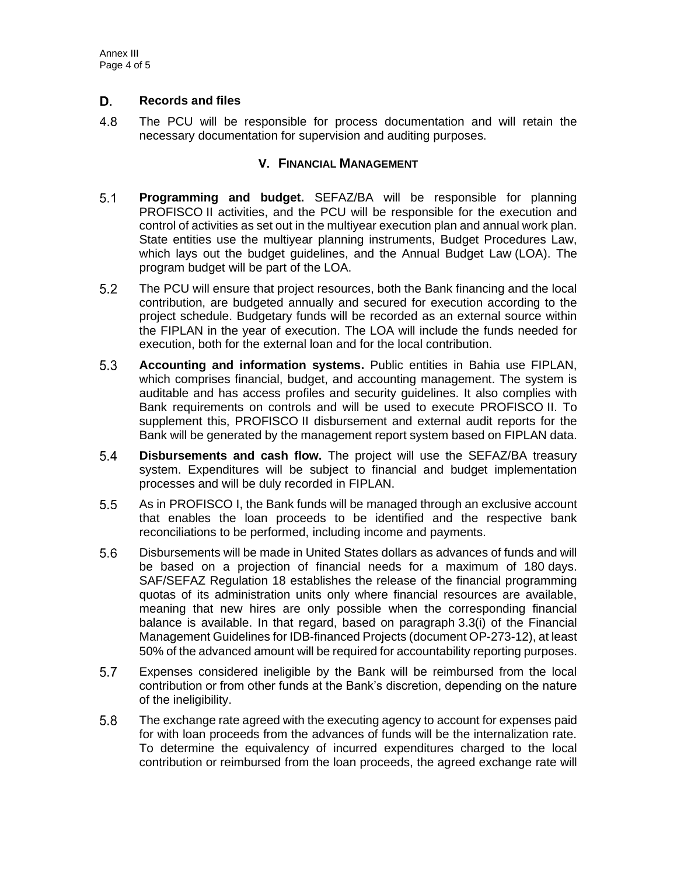#### D. **Records and files**

4.8 The PCU will be responsible for process documentation and will retain the necessary documentation for supervision and auditing purposes.

## **V. FINANCIAL MANAGEMENT**

- $5.1$ **Programming and budget.** SEFAZ/BA will be responsible for planning PROFISCO II activities, and the PCU will be responsible for the execution and control of activities as set out in the multiyear execution plan and annual work plan. State entities use the multiyear planning instruments, Budget Procedures Law, which lays out the budget guidelines, and the Annual Budget Law (LOA). The program budget will be part of the LOA.
- $5.2$ The PCU will ensure that project resources, both the Bank financing and the local contribution, are budgeted annually and secured for execution according to the project schedule. Budgetary funds will be recorded as an external source within the FIPLAN in the year of execution. The LOA will include the funds needed for execution, both for the external loan and for the local contribution.
- $5.3$ **Accounting and information systems.** Public entities in Bahia use FIPLAN, which comprises financial, budget, and accounting management. The system is auditable and has access profiles and security guidelines. It also complies with Bank requirements on controls and will be used to execute PROFISCO II. To supplement this, PROFISCO II disbursement and external audit reports for the Bank will be generated by the management report system based on FIPLAN data.
- $5.4$ **Disbursements and cash flow.** The project will use the SEFAZ/BA treasury system. Expenditures will be subject to financial and budget implementation processes and will be duly recorded in FIPLAN.
- $5.5$ As in PROFISCO I, the Bank funds will be managed through an exclusive account that enables the loan proceeds to be identified and the respective bank reconciliations to be performed, including income and payments.
- $5.6$ Disbursements will be made in United States dollars as advances of funds and will be based on a projection of financial needs for a maximum of 180 days. SAF/SEFAZ Regulation 18 establishes the release of the financial programming quotas of its administration units only where financial resources are available, meaning that new hires are only possible when the corresponding financial balance is available. In that regard, based on paragraph 3.3(i) of the Financial Management Guidelines for IDB‑financed Projects (document OP-273-12), at least 50% of the advanced amount will be required for accountability reporting purposes.
- 5.7 Expenses considered ineligible by the Bank will be reimbursed from the local contribution or from other funds at the Bank's discretion, depending on the nature of the ineligibility.
- $5.8$ The exchange rate agreed with the executing agency to account for expenses paid for with loan proceeds from the advances of funds will be the internalization rate. To determine the equivalency of incurred expenditures charged to the local contribution or reimbursed from the loan proceeds, the agreed exchange rate will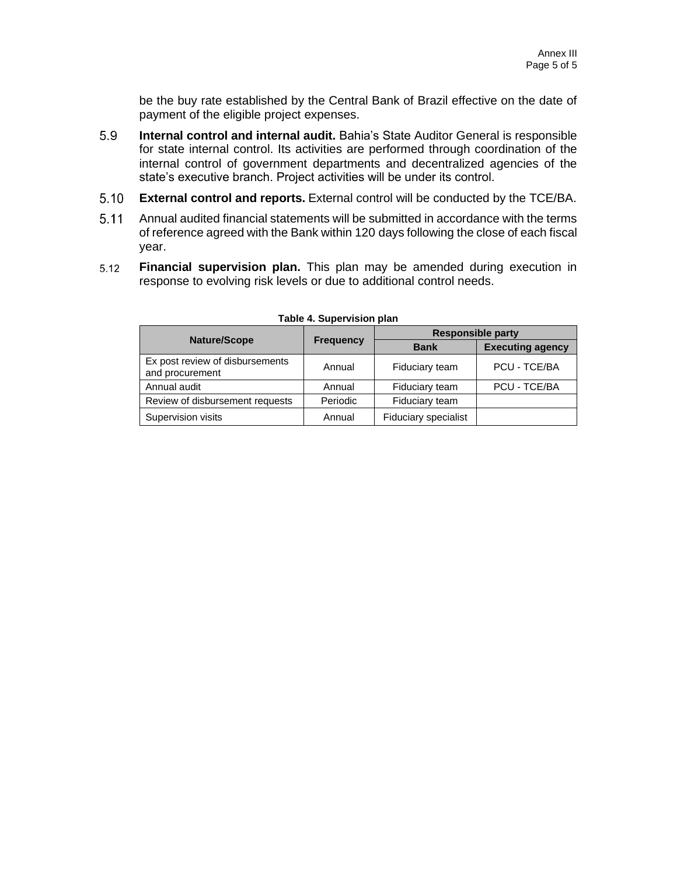be the buy rate established by the Central Bank of Brazil effective on the date of payment of the eligible project expenses.

- 5.9 **Internal control and internal audit.** Bahia's State Auditor General is responsible for state internal control. Its activities are performed through coordination of the internal control of government departments and decentralized agencies of the state's executive branch. Project activities will be under its control.
- $5.10$ **External control and reports.** External control will be conducted by the TCE/BA.
- $5.11$ Annual audited financial statements will be submitted in accordance with the terms of reference agreed with the Bank within 120 days following the close of each fiscal year.
- $5.12$ **Financial supervision plan.** This plan may be amended during execution in response to evolving risk levels or due to additional control needs.

| Nature/Scope                                       |                  | <b>Responsible party</b> |                         |
|----------------------------------------------------|------------------|--------------------------|-------------------------|
|                                                    | <b>Frequency</b> | <b>Bank</b>              | <b>Executing agency</b> |
| Ex post review of disbursements<br>and procurement | Annual           | Fiduciary team           | PCU - TCE/BA            |
| Annual audit                                       | Annual           | Fiduciary team           | PCU - TCE/BA            |
| Review of disbursement requests                    | Periodic         | Fiduciary team           |                         |
| Supervision visits                                 | Annual           | Fiduciary specialist     |                         |

**Table 4. Supervision plan**